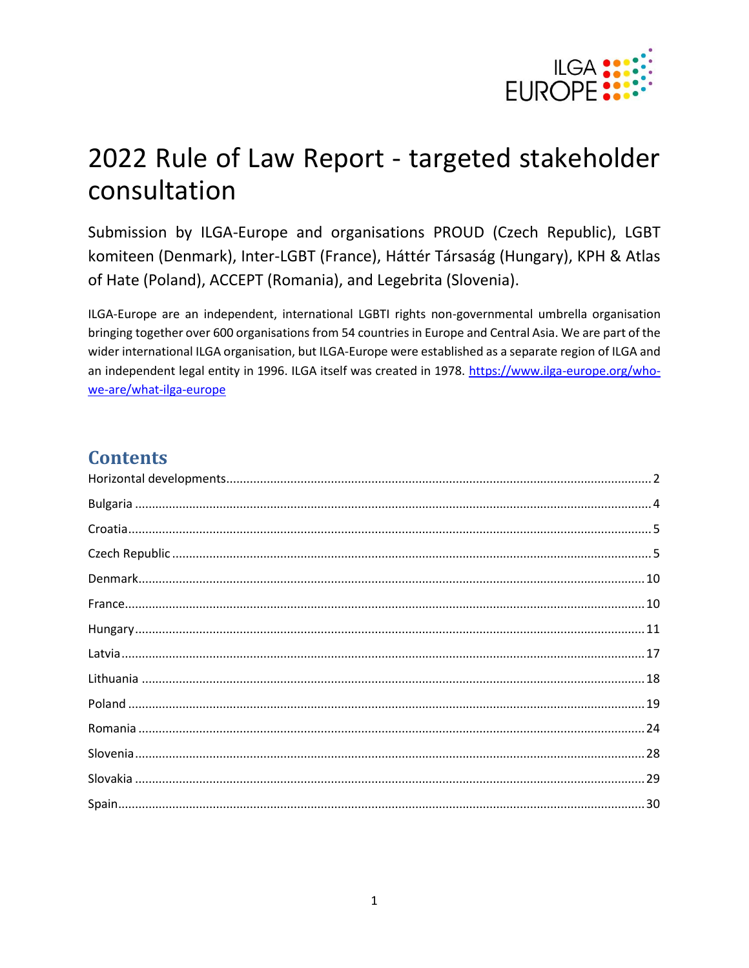

# 2022 Rule of Law Report - targeted stakeholder consultation

Submission by ILGA-Europe and organisations PROUD (Czech Republic), LGBT komiteen (Denmark), Inter-LGBT (France), Háttér Társaság (Hungary), KPH & Atlas of Hate (Poland), ACCEPT (Romania), and Legebrita (Slovenia).

ILGA-Europe are an independent, international LGBTI rights non-governmental umbrella organisation bringing together over 600 organisations from 54 countries in Europe and Central Asia. We are part of the wider international ILGA organisation, but ILGA-Europe were established as a separate region of ILGA and an independent legal entity in 1996. ILGA itself was created in 1978. https://www.ilga-europe.org/whowe-are/what-ilga-europe

# **Contents**

| $Croatia\dots 25$ |  |
|-------------------|--|
|                   |  |
|                   |  |
|                   |  |
|                   |  |
|                   |  |
|                   |  |
|                   |  |
|                   |  |
|                   |  |
|                   |  |
|                   |  |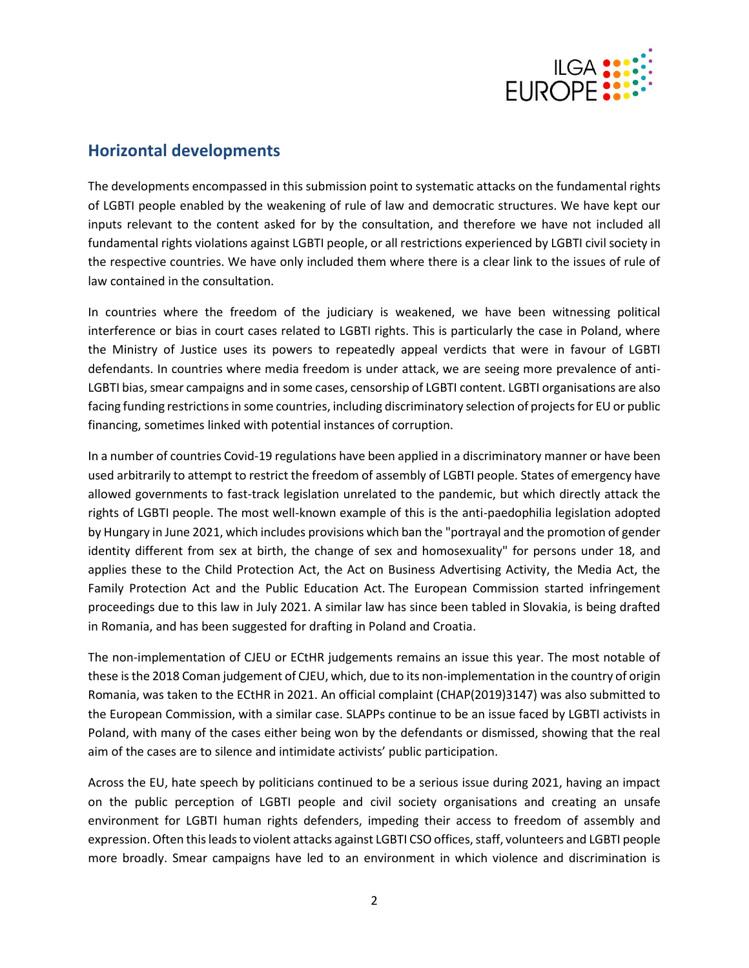

# <span id="page-1-0"></span>**Horizontal developments**

The developments encompassed in this submission point to systematic attacks on the fundamental rights of LGBTI people enabled by the weakening of rule of law and democratic structures. We have kept our inputs relevant to the content asked for by the consultation, and therefore we have not included all fundamental rights violations against LGBTI people, or all restrictions experienced by LGBTI civil society in the respective countries. We have only included them where there is a clear link to the issues of rule of law contained in the consultation.

In countries where the freedom of the judiciary is weakened, we have been witnessing political interference or bias in court cases related to LGBTI rights. This is particularly the case in Poland, where the Ministry of Justice uses its powers to repeatedly appeal verdicts that were in favour of LGBTI defendants. In countries where media freedom is under attack, we are seeing more prevalence of anti-LGBTI bias, smear campaigns and in some cases, censorship of LGBTI content. LGBTI organisations are also facing funding restrictions in some countries, including discriminatory selection of projects for EU or public financing, sometimes linked with potential instances of corruption.

In a number of countries Covid-19 regulations have been applied in a discriminatory manner or have been used arbitrarily to attempt to restrict the freedom of assembly of LGBTI people. States of emergency have allowed governments to fast-track legislation unrelated to the pandemic, but which directly attack the rights of LGBTI people. The most well-known example of this is the anti-paedophilia legislation adopted by Hungary in June 2021, which includes provisions which ban the "portrayal and the promotion of gender identity different from sex at birth, the change of sex and homosexuality" for persons under 18, and applies these to the Child Protection Act, the Act on Business Advertising Activity, the Media Act, the Family Protection Act and the Public Education Act. The European Commission started infringement proceedings due to this law in July 2021. A similar law has since been tabled in Slovakia, is being drafted in Romania, and has been suggested for drafting in Poland and Croatia.

The non-implementation of CJEU or ECtHR judgements remains an issue this year. The most notable of these is the 2018 Coman judgement of CJEU, which, due to its non-implementation in the country of origin Romania, was taken to the ECtHR in 2021. An official complaint (CHAP(2019)3147) was also submitted to the European Commission, with a similar case. SLAPPs continue to be an issue faced by LGBTI activists in Poland, with many of the cases either being won by the defendants or dismissed, showing that the real aim of the cases are to silence and intimidate activists' public participation.

Across the EU, hate speech by politicians continued to be a serious issue during 2021, having an impact on the public perception of LGBTI people and civil society organisations and creating an unsafe environment for LGBTI human rights defenders, impeding their access to freedom of assembly and expression. Often thisleadsto violent attacks against LGBTI CSO offices, staff, volunteers and LGBTI people more broadly. Smear campaigns have led to an environment in which violence and discrimination is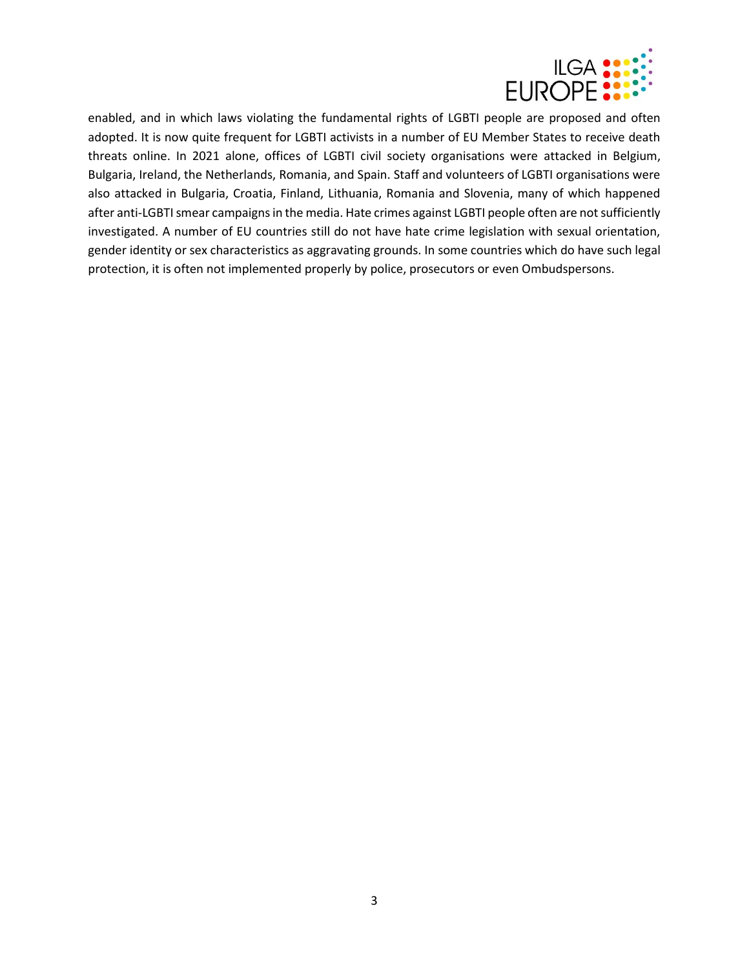

enabled, and in which laws violating the fundamental rights of LGBTI people are proposed and often adopted. It is now quite frequent for LGBTI activists in a number of EU Member States to receive death threats online. In 2021 alone, offices of LGBTI civil society organisations were attacked in Belgium, Bulgaria, Ireland, the Netherlands, Romania, and Spain. Staff and volunteers of LGBTI organisations were also attacked in Bulgaria, Croatia, Finland, Lithuania, Romania and Slovenia, many of which happened after anti-LGBTI smear campaigns in the media. Hate crimes against LGBTI people often are not sufficiently investigated. A number of EU countries still do not have hate crime legislation with sexual orientation, gender identity or sex characteristics as aggravating grounds. In some countries which do have such legal protection, it is often not implemented properly by police, prosecutors or even Ombudspersons.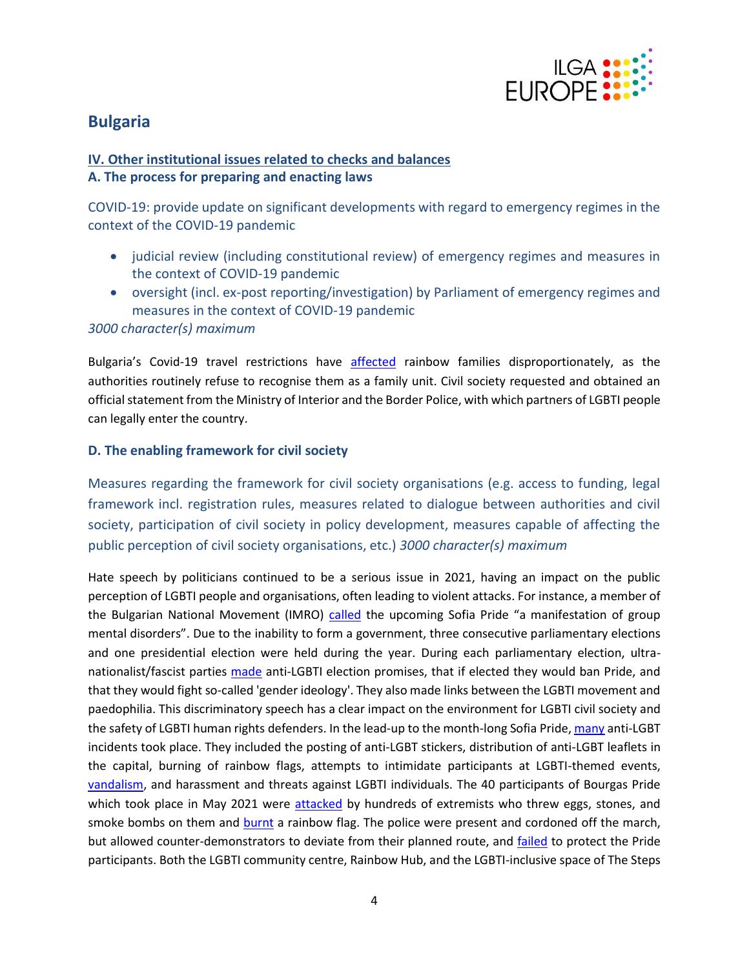

# <span id="page-3-0"></span>**Bulgaria**

## **IV. Other institutional issues related to checks and balances A. The process for preparing and enacting laws**

COVID-19: provide update on significant developments with regard to emergency regimes in the context of the COVID-19 pandemic

- judicial review (including constitutional review) of emergency regimes and measures in the context of COVID-19 pandemic
- oversight (incl. ex-post reporting/investigation) by Parliament of emergency regimes and measures in the context of COVID-19 pandemic

#### *3000 character(s) maximum*

Bulgaria's Covid-19 travel restrictions have [affected](https://www.deystvie.org/post/covid-rules) rainbow families disproportionately, as the authorities routinely refuse to recognise them as a family unit. Civil society requested and obtained an official statement from the Ministry of Interior and the Border Police, with which partners of LGBTI people can legally enter the country.

#### **D. The enabling framework for civil society**

Measures regarding the framework for civil society organisations (e.g. access to funding, legal framework incl. registration rules, measures related to dialogue between authorities and civil society, participation of civil society in policy development, measures capable of affecting the public perception of civil society organisations, etc.) *3000 character(s) maximum*

Hate speech by politicians continued to be a serious issue in 2021, having an impact on the public perception of LGBTI people and organisations, often leading to violent attacks. For instance, a member of the Bulgarian National Movement (IMRO) [called](https://sofiaglobe.com/2021/06/10/petition-urges-bulgarias-caretaker-interior-minister-to-secure-sofia-pride/) the upcoming Sofia Pride "a manifestation of group mental disorders". Due to the inability to form a government, three consecutive parliamentary elections and one presidential election were held during the year. During each parliamentary election, ultranationalist/fascist parties [made](https://www.24chasa.bg/novini/article/9933808) anti-LGBTI election promises, that if elected they would ban Pride, and that they would fight so-called 'gender ideology'. They also made links between the LGBTI movement and paedophilia. This discriminatory speech has a clear impact on the environment for LGBTI civil society and the safety of LGBTI human rights defenders. In the lead-up to the month-long Sofia Pride[, many](https://www.deystvie.org/post/homofobia) anti-LGBT incidents took place. They included the posting of anti-LGBT stickers, distribution of anti-LGBT leaflets in the capital, burning of rainbow flags, attempts to intimidate participants at LGBTI-themed events, [vandalism,](https://glasfoundation.bg/en/vandalism-over-billboards-for-sofia-pride-2021/) and harassment and threats against LGBTI individuals. The 40 participants of Bourgas Pride which took place in May 2021 were [attacked](https://sofiaglobe.com/2021/05/15/counter-protesters-throw-objects-at-participants-in-first-bourgas-pride/) by hundreds of extremists who threw eggs, stones, and smoke bombs on them and [burnt](https://sofiaglobe.com/2021/06/10/petition-urges-bulgarias-caretaker-interior-minister-to-secure-sofia-pride/) a rainbow flag. The police were present and cordoned off the march, but allowed counter-demonstrators to deviate from their planned route, and [failed](https://www.deystvie.org/post/burgaspride) to protect the Pride participants. Both the LGBTI community centre, Rainbow Hub, and the LGBTI-inclusive space of The Steps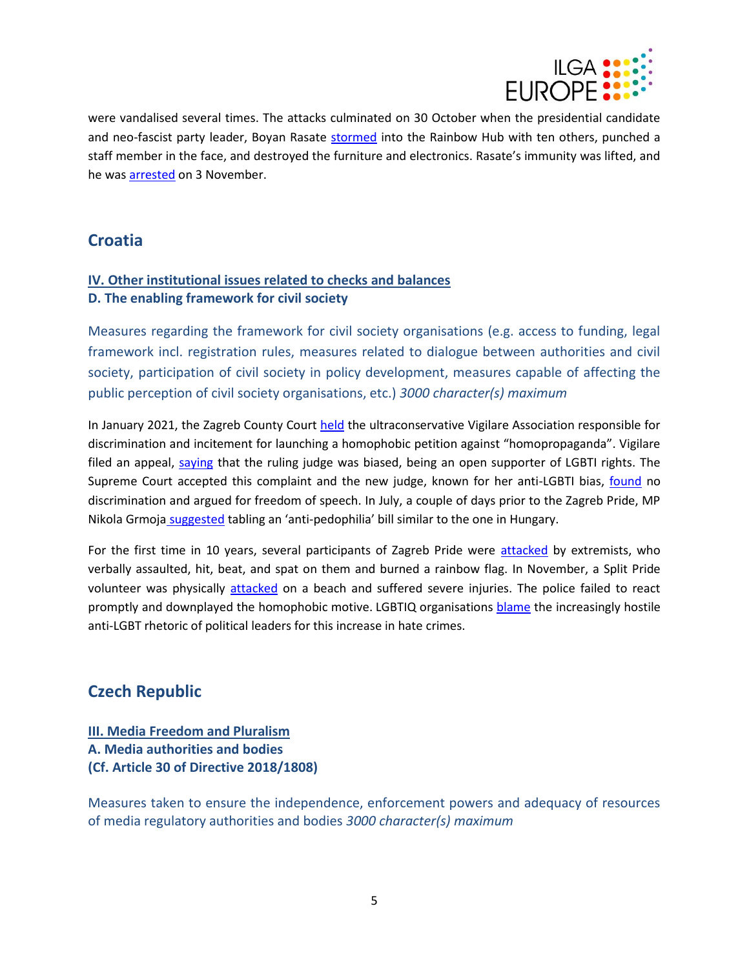

were vandalised several times. The attacks culminated on 30 October when the presidential candidate and neo-fascist party leader, Boyan Rasate [stormed](https://bilitis.org/2021/10/31/napadenie-obshtnostniya-centar-rainbow-hub/%E2%80%9D) into the Rainbow Hub with ten others, punched a staff member in the face, and destroyed the furniture and electronics. Rasate's immunity was lifted, and he wa[s arrested](https://www.svobodnaevropa.bg/a/31544172.html) on 3 November.

# <span id="page-4-0"></span>**Croatia**

# **IV. Other institutional issues related to checks and balances D. The enabling framework for civil society**

Measures regarding the framework for civil society organisations (e.g. access to funding, legal framework incl. registration rules, measures related to dialogue between authorities and civil society, participation of civil society in policy development, measures capable of affecting the public perception of civil society organisations, etc.) *3000 character(s) maximum*

In January 2021, the Zagreb County Court [held](https://www.dugineobitelji.com/dugine-obitelji-dobile-spor-protiv-udruge-vigilare-koja-je-proglasena-krivom-za-diskriminaciju-lgbtiq-osoba-i-njihovih-obitelji/) the ultraconservative Vigilare Association responsible for discrimination and incitement for launching a homophobic petition against "homopropaganda". Vigilare filed an appeal, [saying](https://www.dugineobitelji.com/index-hr-dugine-obitelji-sutkinja-kaze-da-vigilare-ne-diskriminira-poziva-se-na-katekizam/) that the ruling judge was biased, being an open supporter of LGBTI rights. The Supreme Court accepted this complaint and the new judge, known for her anti-LGBTI bias, [found](https://www.dugineobitelji.com/telegram-hr-dugine-obitelji-izgubile-od-batarela-sudila-im-sutkinja-koja-je-mamica-spasila-nakon-homofobne-izjave/) no discrimination and argued for freedom of speech. In July, a couple of days prior to the Zagreb Pride, MP Nikola Grmoja [suggested](https://www.dugineobitelji.com/index-hr-grmoja-podvaljuje-zabranu-lgbt-propagande-pod-antipedofilski-zakon-bas-kao-i-orban/) tabling an 'anti-pedophilia' bill similar to the one in Hungary.

For the first time in 10 years, several participants of Zagreb Pride were [attacked](https://www.dw.com/en/croatia-zagreb-pride-march-sees-homophobic-attacks/a-58157432) by extremists, who verbally assaulted, hit, beat, and spat on them and burned a rainbow flag. In November, a Split Pride volunteer was physically [attacked](https://www.index.hr/vijesti/clanak/mladi-gej-kojeg-su-pretukli-u-kastelima-molio-sam-ljude-da-zovu-hitnu-nisu-htjeli/2316072.aspx) on a beach and suffered severe injuries. The police failed to react promptly and downplayed the homophobic motive. LGBTIQ organisations [blame](https://www.dw.com/en/croatia-zagreb-pride-march-sees-homophobic-attacks/a-58157432) the increasingly hostile anti-LGBT rhetoric of political leaders for this increase in hate crimes.

# <span id="page-4-1"></span>**Czech Republic**

# **III. Media Freedom and Pluralism A. Media authorities and bodies (Cf. Article 30 of Directive 2018/1808)**

Measures taken to ensure the independence, enforcement powers and adequacy of resources of media regulatory authorities and bodies *3000 character(s) maximum*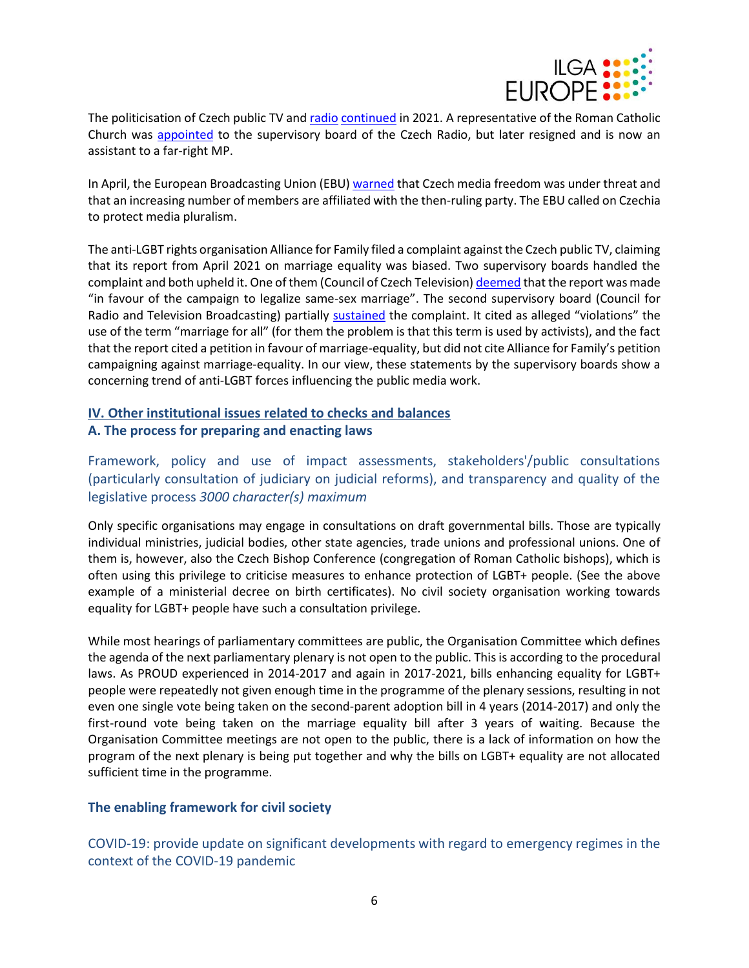

The politicisation of Czech public TV and [radio](https://www.idnes.cz/zpravy/mediahub/rada-ceskeho-rozhlasu-rada-pro-rozhlasove-a-televizni-vysilani-snemovna.A200930_101726_mediahub_jpl) [continued](https://www.idnes.cz/zpravy/mediahub/rada-ceskeho-rozhlasu-rada-pro-rozhlasove-a-televizni-vysilani-snemovna.A200930_101726_mediahub_jpl) in 2021. A representative of the Roman Catholic Church was [appointed](https://www.idnes.cz/zpravy/mediahub/rada-ceskeho-rozhlasu-rada-pro-rozhlasove-a-televizni-vysilani-snemovna.A200930_101726_mediahub_jpl) to the supervisory board of the Czech Radio, but later resigned and is now an assistant to a far-right MP.

In April, the European Broadcasting Union (EBU[\) warned](https://www.ebu.ch/news/2021/04/public-service-media-in-the-czech-republic-under-threat) that Czech media freedom was under threat and that an increasing number of members are affiliated with the then-ruling party. The EBU called on Czechia to protect media pluralism.

The anti-LGBT rights organisation Alliance for Family filed a complaint against the Czech public TV, claiming that its report from April 2021 on marriage equality was biased. Two supervisory boards handled the complaint and both upheld it. One of them (Council of Czech Television[\) deemed](https://www.lupa.cz/aktuality/vysilaci-rada-napomenula-ceskou-televizi-za-manzelstvi-pro-vsechny/) that the report was made "in favour of the campaign to legalize same-sex marriage". The second supervisory board (Council for Radio and Television Broadcasting) partially [sustained](https://www.lupa.cz/aktuality/vysilaci-rada-napomenula-ceskou-televizi-za-manzelstvi-pro-vsechny/) the complaint. It cited as alleged "violations" the use of the term "marriage for all" (for them the problem is that this term is used by activists), and the fact that the report cited a petition in favour of marriage-equality, but did not cite Alliance for Family's petition campaigning against marriage-equality. In our view, these statements by the supervisory boards show a concerning trend of anti-LGBT forces influencing the public media work.

## **IV. Other institutional issues related to checks and balances A. The process for preparing and enacting laws**

Framework, policy and use of impact assessments, stakeholders'/public consultations (particularly consultation of judiciary on judicial reforms), and transparency and quality of the legislative process *3000 character(s) maximum*

Only specific organisations may engage in consultations on draft governmental bills. Those are typically individual ministries, judicial bodies, other state agencies, trade unions and professional unions. One of them is, however, also the Czech Bishop Conference (congregation of Roman Catholic bishops), which is often using this privilege to criticise measures to enhance protection of LGBT+ people. (See the above example of a ministerial decree on birth certificates). No civil society organisation working towards equality for LGBT+ people have such a consultation privilege.

While most hearings of parliamentary committees are public, the Organisation Committee which defines the agenda of the next parliamentary plenary is not open to the public. This is according to the procedural laws. As PROUD experienced in 2014-2017 and again in 2017-2021, bills enhancing equality for LGBT+ people were repeatedly not given enough time in the programme of the plenary sessions, resulting in not even one single vote being taken on the second-parent adoption bill in 4 years (2014-2017) and only the first-round vote being taken on the marriage equality bill after 3 years of waiting. Because the Organisation Committee meetings are not open to the public, there is a lack of information on how the program of the next plenary is being put together and why the bills on LGBT+ equality are not allocated sufficient time in the programme.

#### **The enabling framework for civil society**

COVID-19: provide update on significant developments with regard to emergency regimes in the context of the COVID-19 pandemic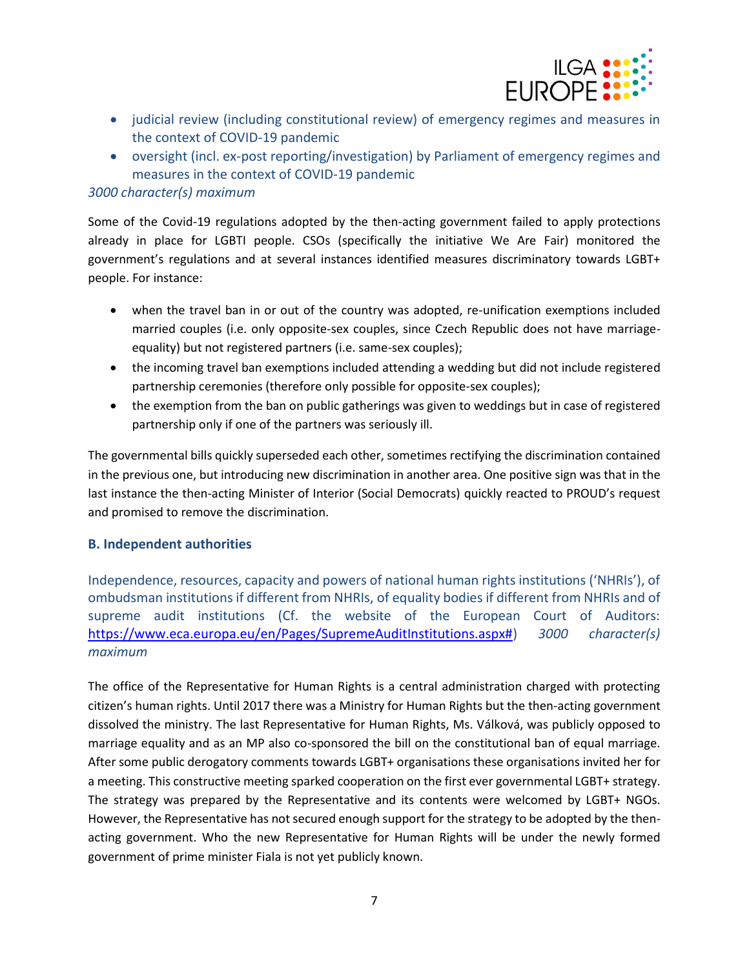

- judicial review (including constitutional review) of emergency regimes and measures in the context of COVID-19 pandemic
- oversight (incl. ex-post reporting/investigation) by Parliament of emergency regimes and measures in the context of COVID-19 pandemic

#### *3000 character(s) maximum*

Some of the Covid-19 regulations adopted by the then-acting government failed to apply protections already in place for LGBTI people. CSOs (specifically the initiative We Are Fair) monitored the government's regulations and at several instances identified measures discriminatory towards LGBT+ people. For instance:

- when the travel ban in or out of the country was adopted, re-unification exemptions included married couples (i.e. only opposite-sex couples, since Czech Republic does not have marriageequality) but not registered partners (i.e. same-sex couples);
- the incoming travel ban exemptions included attending a wedding but did not include registered partnership ceremonies (therefore only possible for opposite-sex couples);
- the exemption from the ban on public gatherings was given to weddings but in case of registered partnership only if one of the partners was seriously ill.

The governmental bills quickly superseded each other, sometimes rectifying the discrimination contained in the previous one, but introducing new discrimination in another area. One positive sign was that in the last instance the then-acting Minister of Interior (Social Democrats) quickly reacted to PROUD's request and promised to remove the discrimination.

#### **B. Independent authorities**

Independence, resources, capacity and powers of national human rights institutions ('NHRIs'), of ombudsman institutions if different from NHRIs, of equality bodies if different from NHRIs and of supreme audit institutions (Cf. the website of the European Court of Auditors: [https://www.eca.europa.eu/en/Pages/SupremeAuditInstitutions.aspx#\)](https://www.eca.europa.eu/en/Pages/SupremeAuditInstitutions.aspx) *3000 character(s) maximum*

The office of the Representative for Human Rights is a central administration charged with protecting citizen's human rights. Until 2017 there was a Ministry for Human Rights but the then-acting government dissolved the ministry. The last Representative for Human Rights, Ms. Válková, was publicly opposed to marriage equality and as an MP also co-sponsored the bill on the constitutional ban of equal marriage. After some public derogatory comments towards LGBT+ organisations these organisations invited her for a meeting. This constructive meeting sparked cooperation on the first ever governmental LGBT+ strategy. The strategy was prepared by the Representative and its contents were welcomed by LGBT+ NGOs. However, the Representative has not secured enough support for the strategy to be adopted by the thenacting government. Who the new Representative for Human Rights will be under the newly formed government of prime minister Fiala is not yet publicly known.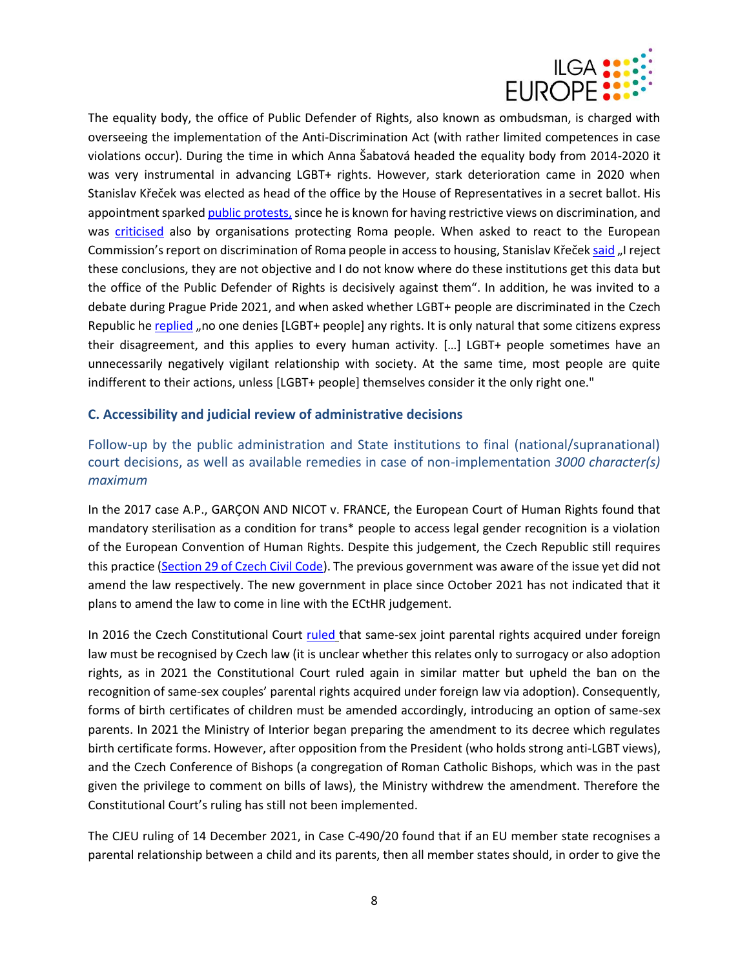

The equality body, the office of Public Defender of Rights, also known as ombudsman, is charged with overseeing the implementation of the Anti-Discrimination Act (with rather limited competences in case violations occur). During the time in which Anna Šabatová headed the equality body from 2014-2020 it was very instrumental in advancing LGBT+ rights. However, stark deterioration came in 2020 when Stanislav Křeček was elected as head of the office by the House of Representatives in a secret ballot. His appointment sparke[d public protests,](https://www.irozhlas.cz/zpravy-domov/krecek-se-ujal-funkce-ombudsmana-vstup-do-uradu-zablokovali-jeho-odpurci_2002201008_tkr) since he is known for having restrictive views on discrimination, and was [criticised](https://plus.rozhlas.cz/ombudsmana-ktery-se-pta-co-je-diskriminace-nepotrebujeme-rika-o-kreckovi-romsky-8139597) also by organisations protecting Roma people. When asked to react to the European Commission's report on discrimination of Roma people in access to housing, Stanislav Křeček [said](https://plus.rozhlas.cz/ombudsmana-ktery-se-pta-co-je-diskriminace-nepotrebujeme-rika-o-kreckovi-romsky-8139597) "I reject these conclusions, they are not objective and I do not know where do these institutions get this data but the office of the Public Defender of Rights is decisively against them". In addition, he was invited to a debate during Prague Pride 2021, and when asked whether LGBT+ people are discriminated in the Czech Republic h[e replied](https://advokatnidenik.cz/2021/08/09/ombudsman-v-ceske-republice-nejsou-skupine-lidi-lgbt-upirana-zadna-prava/) "no one denies [LGBT+ people] any rights. It is only natural that some citizens express their disagreement, and this applies to every human activity. […] LGBT+ people sometimes have an unnecessarily negatively vigilant relationship with society. At the same time, most people are quite indifferent to their actions, unless [LGBT+ people] themselves consider it the only right one."

#### **C. Accessibility and judicial review of administrative decisions**

Follow-up by the public administration and State institutions to final (national/supranational) court decisions, as well as available remedies in case of non-implementation *3000 character(s) maximum*

In the 2017 case A.P., GARÇON AND NICOT v. FRANCE, the European Court of Human Rights found that mandatory sterilisation as a condition for trans\* people to access legal gender recognition is a violation of the European Convention of Human Rights. Despite this judgement, the Czech Republic still requires this practice [\(Section 29 of Czech Civil Code\)](https://www.zakonyprolidi.cz/cs/2012-89). The previous government was aware of the issue yet did not amend the law respectively. The new government in place since October 2021 has not indicated that it plans to amend the law to come in line with the ECtHR judgement.

In 2016 the Czech Constitutional Court [ruled](https://www.usoud.cz/fileadmin/user_upload/Tiskova_mluvci/Publikovane_nalezy/2017/I._US_3226_16_an.pdf) that same-sex joint parental rights acquired under foreign law must be recognised by Czech law (it is unclear whether this relates only to surrogacy or also adoption rights, as in 2021 the Constitutional Court ruled again in similar matter but upheld the ban on the recognition of same-sex couples' parental rights acquired under foreign law via adoption). Consequently, forms of birth certificates of children must be amended accordingly, introducing an option of same-sex parents. In 2021 the Ministry of Interior began preparing the amendment to its decree which regulates birth certificate forms. However, after opposition from the President (who holds strong anti-LGBT views), and the Czech Conference of Bishops (a congregation of Roman Catholic Bishops, which was in the past given the privilege to comment on bills of laws), the Ministry withdrew the amendment. Therefore the Constitutional Court's ruling has still not been implemented.

The CJEU ruling of 14 December 2021, in Case C-490/20 found that if an EU member state recognises a parental relationship between a child and its parents, then all member states should, in order to give the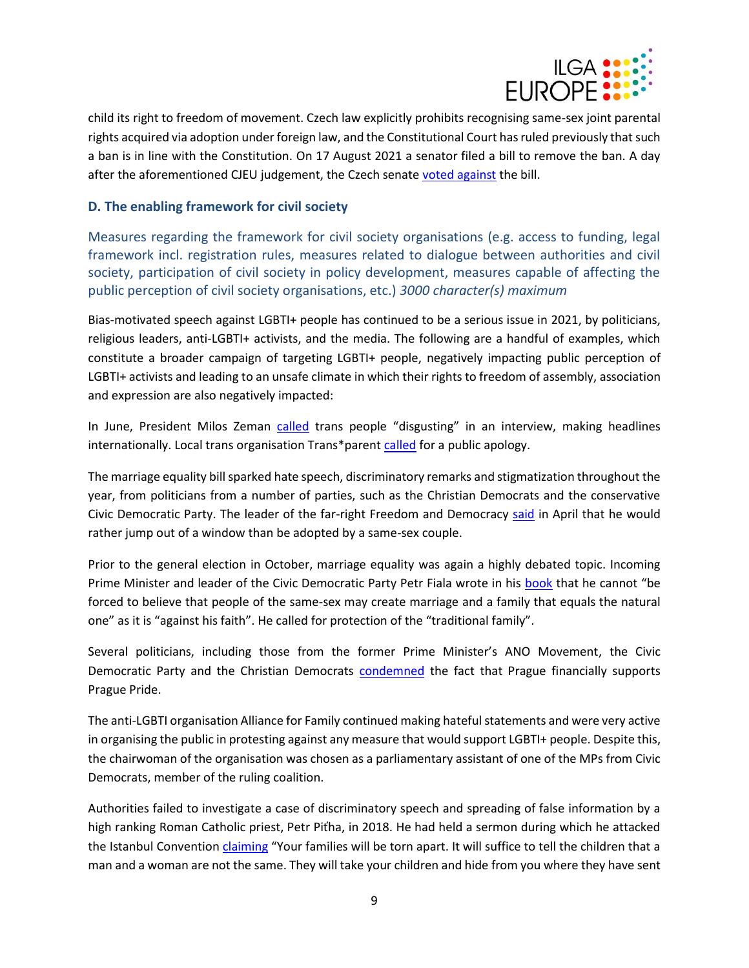

child its right to freedom of movement. Czech law explicitly prohibits recognising same-sex joint parental rights acquired via adoption under foreign law, and the Constitutional Court has ruled previously that such a ban is in line with the Constitution. On 17 August 2021 a senator filed a bill to remove the ban. A day after the aforementioned CJEU judgement, the Czech senat[e voted against](https://www.irozhlas.cz/zpravy-domov/cesko-senat-adopce-deti-homosexualni-pary_2112152036_vis) the bill.

#### **D. The enabling framework for civil society**

Measures regarding the framework for civil society organisations (e.g. access to funding, legal framework incl. registration rules, measures related to dialogue between authorities and civil society, participation of civil society in policy development, measures capable of affecting the public perception of civil society organisations, etc.) *3000 character(s) maximum*

Bias-motivated speech against LGBTI+ people has continued to be a serious issue in 2021, by politicians, religious leaders, anti-LGBTI+ activists, and the media. The following are a handful of examples, which constitute a broader campaign of targeting LGBTI+ people, negatively impacting public perception of LGBTI+ activists and leading to an unsafe climate in which their rights to freedom of assembly, association and expression are also negatively impacted:

In June, President Milos Zeman [called](https://www.bbc.com/news/world-europe-57635373) trans people "disgusting" in an interview, making headlines internationally. Local trans organisation Trans\*parent [called](https://jsmetransparent.cz/neprijatelne-vyroky-prezidenta-na-ukor-transgender-lidi/) for a public apology.

The marriage equality bill sparked hate speech, discriminatory remarks and stigmatization throughout the year, from politicians from a number of parties, such as the Christian Democrats and the conservative Civic Democratic Party. The leader of the far-right Freedom and Democracy [said](https://www.idnes.cz/zpravy/domaci/okamura-manzelstvi-osob-stejneho-pohlavi-adopce-deti-z-detskeho-domova.A210429_095743_domaci_kop) in April that he would rather jump out of a window than be adopted by a same-sex couple.

Prior to the general election in October, marriage equality was again a highly debated topic. Incoming Prime Minister and leader of the Civic Democratic Party Petr Fiala wrote in his [book](https://pfiala.cz/download/PF_od_A_do_Z.pdf) that he cannot "be forced to believe that people of the same-sex may create marriage and a family that equals the natural one" as it is "against his faith". He called for protection of the "traditional family".

Several politicians, including those from the former Prime Minister's ANO Movement, the Civic Democratic Party and the Christian Democrats [condemned](https://www.novinky.cz/domaci/clanek/prague-pride-si-650-tisic-zaslouzi-prilaka-turisty-brani-se-hrib-kritice-40358272#utm_content=obsahovky&utm_medium=result&utm_source=search.seznam.cz&utm_term=lgbt) the fact that Prague financially supports Prague Pride.

The anti-LGBTI organisation Alliance for Family continued making hateful statements and were very active in organising the public in protesting against any measure that would support LGBTI+ people. Despite this, the chairwoman of the organisation was chosen as a parliamentary assistant of one of the MPs from Civic Democrats, member of the ruling coalition.

Authorities failed to investigate a case of discriminatory speech and spreading of false information by a high ranking Roman Catholic priest, Petr Piťha, in 2018. He had held a sermon during which he attacked the Istanbul Convention [claiming](https://ct24.ceskatelevize.cz/domaci/2629586-odebirani-deti-vyhlazovaci-tabory-prirovnani-k-nacismu-pithuv-nahled-na-istanbulskou) "Your families will be torn apart. It will suffice to tell the children that a man and a woman are not the same. They will take your children and hide from you where they have sent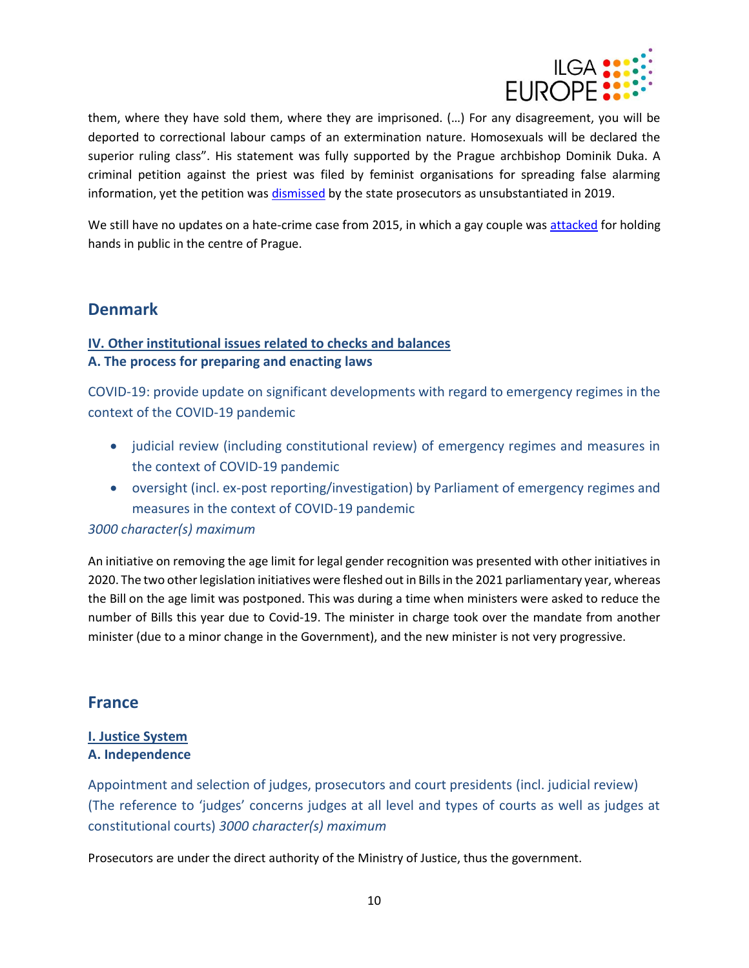

them, where they have sold them, where they are imprisoned. (…) For any disagreement, you will be deported to correctional labour camps of an extermination nature. Homosexuals will be declared the superior ruling class". His statement was fully supported by the Prague archbishop Dominik Duka. A criminal petition against the priest was filed by feminist organisations for spreading false alarming information, yet the petition was [dismissed](https://www.idnes.cz/zpravy/domaci/ceska-zenska-lobby-monsignor-petr-pitha-trestni-oznameni.A190114_142514_domaci_lre) by the state prosecutors as unsubstantiated in 2019.

We still have no updates on a hate-crime case from 2015, in which a gay couple was [attacked](https://www.idnes.cz/praha/zpravy/jakub-stary-napadeny-rozhovor.A210530_114310_praha-zpravy_bse) for holding hands in public in the centre of Prague.

# <span id="page-9-0"></span>**Denmark**

# **IV. Other institutional issues related to checks and balances A. The process for preparing and enacting laws**

COVID-19: provide update on significant developments with regard to emergency regimes in the context of the COVID-19 pandemic

- judicial review (including constitutional review) of emergency regimes and measures in the context of COVID-19 pandemic
- oversight (incl. ex-post reporting/investigation) by Parliament of emergency regimes and measures in the context of COVID-19 pandemic

#### *3000 character(s) maximum*

An initiative on removing the age limit for legal gender recognition was presented with other initiatives in 2020. The two other legislation initiatives were fleshed out in Bills in the 2021 parliamentary year, whereas the Bill on the age limit was postponed. This was during a time when ministers were asked to reduce the number of Bills this year due to Covid-19. The minister in charge took over the mandate from another minister (due to a minor change in the Government), and the new minister is not very progressive.

# <span id="page-9-1"></span>**France**

#### **I. Justice System A. Independence**

Appointment and selection of judges, prosecutors and court presidents (incl. judicial review) (The reference to 'judges' concerns judges at all level and types of courts as well as judges at constitutional courts) *3000 character(s) maximum*

Prosecutors are under the direct authority of the Ministry of Justice, thus the government.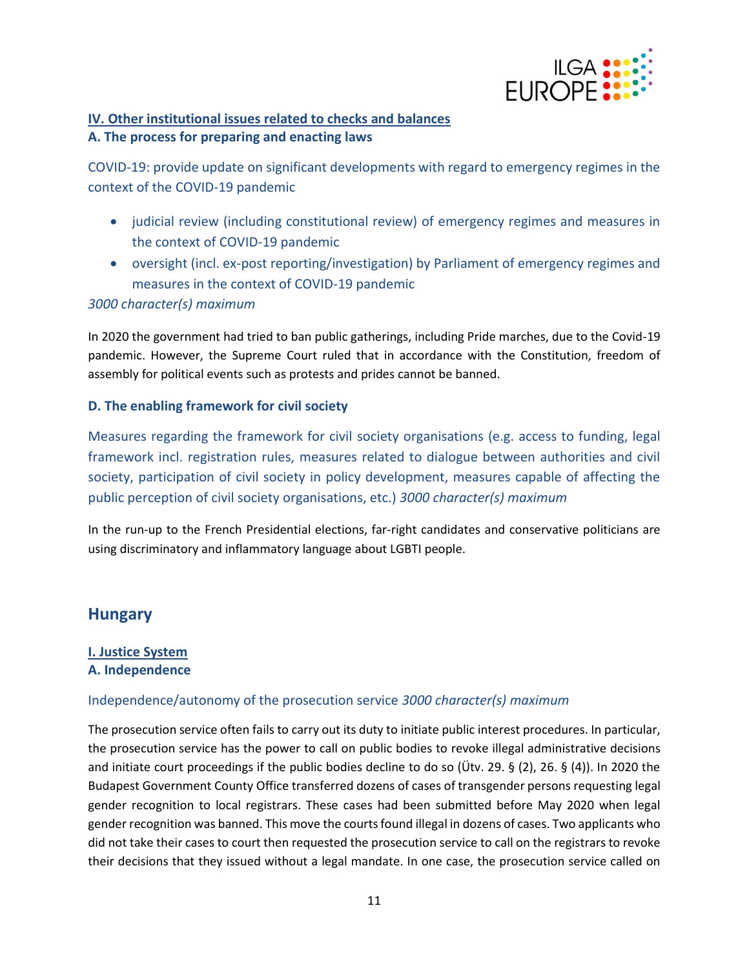

# **IV. Other institutional issues related to checks and balances A. The process for preparing and enacting laws**

COVID-19: provide update on significant developments with regard to emergency regimes in the context of the COVID-19 pandemic

- judicial review (including constitutional review) of emergency regimes and measures in the context of COVID-19 pandemic
- oversight (incl. ex-post reporting/investigation) by Parliament of emergency regimes and measures in the context of COVID-19 pandemic

#### *3000 character(s) maximum*

In 2020 the government had tried to ban public gatherings, including Pride marches, due to the Covid-19 pandemic. However, the Supreme Court ruled that in accordance with the Constitution, freedom of assembly for political events such as protests and prides cannot be banned.

## **D. The enabling framework for civil society**

Measures regarding the framework for civil society organisations (e.g. access to funding, legal framework incl. registration rules, measures related to dialogue between authorities and civil society, participation of civil society in policy development, measures capable of affecting the public perception of civil society organisations, etc.) *3000 character(s) maximum*

In the run-up to the French Presidential elections, far-right candidates and conservative politicians are using discriminatory and inflammatory language about LGBTI people.

# <span id="page-10-0"></span>**Hungary**

#### **I. Justice System A. Independence**

# Independence/autonomy of the prosecution service *3000 character(s) maximum*

The prosecution service often fails to carry out its duty to initiate public interest procedures. In particular, the prosecution service has the power to call on public bodies to revoke illegal administrative decisions and initiate court proceedings if the public bodies decline to do so (Ütv. 29. § (2), 26. § (4)). In 2020 the Budapest Government County Office transferred dozens of cases of transgender persons requesting legal gender recognition to local registrars. These cases had been submitted before May 2020 when legal gender recognition was banned. This move the courts found illegal in dozens of cases. Two applicants who did not take their cases to court then requested the prosecution service to call on the registrars to revoke their decisions that they issued without a legal mandate. In one case, the prosecution service called on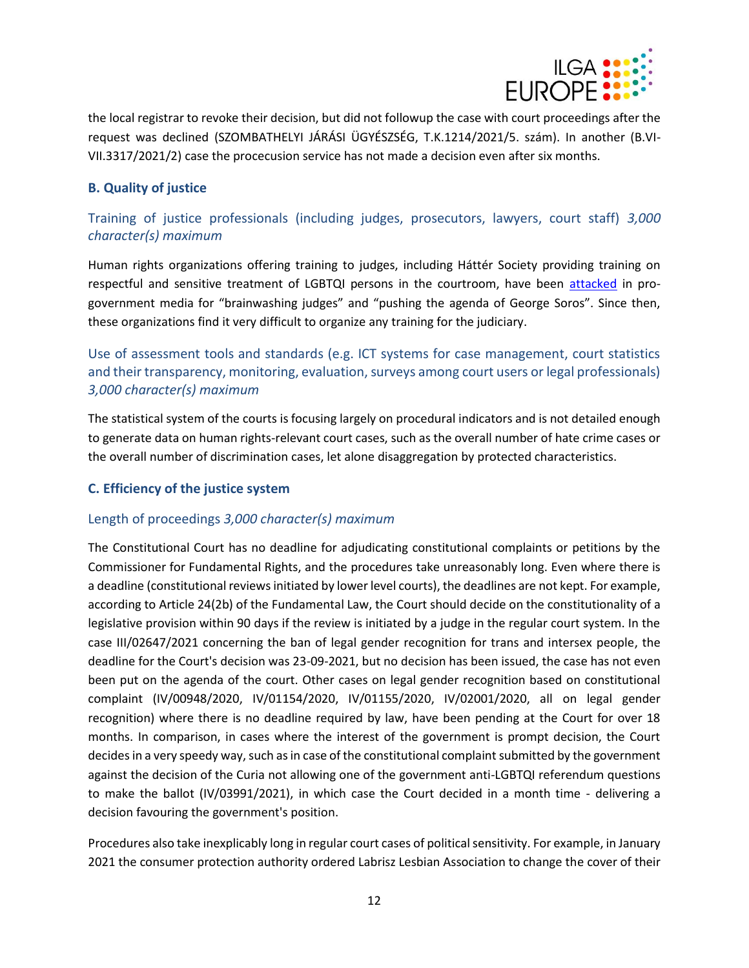

the local registrar to revoke their decision, but did not followup the case with court proceedings after the request was declined (SZOMBATHELYI JÁRÁSI ÜGYÉSZSÉG, T.K.1214/2021/5. szám). In another (B.VI-VII.3317/2021/2) case the procecusion service has not made a decision even after six months.

## **B. Quality of justice**

Training of justice professionals (including judges, prosecutors, lawyers, court staff) *3,000 character(s) maximum*

Human rights organizations offering training to judges, including Háttér Society providing training on respectful and sensitive treatment of LGBTQI persons in the courtroom, have been [attacked](https://tuzfalcsoport.blogstar.hu/2017/05/04/hogyan-szovi-besoros-haloja-a-magyar-igazsagszolgaltatast-2-resz-/37866/) in progovernment media for "brainwashing judges" and "pushing the agenda of George Soros". Since then, these organizations find it very difficult to organize any training for the judiciary.

Use of assessment tools and standards (e.g. ICT systems for case management, court statistics and their transparency, monitoring, evaluation, surveys among court users or legal professionals) *3,000 character(s) maximum*

The statistical system of the courts is focusing largely on procedural indicators and is not detailed enough to generate data on human rights-relevant court cases, such as the overall number of hate crime cases or the overall number of discrimination cases, let alone disaggregation by protected characteristics.

#### **C. Efficiency of the justice system**

# Length of proceedings *3,000 character(s) maximum*

The Constitutional Court has no deadline for adjudicating constitutional complaints or petitions by the Commissioner for Fundamental Rights, and the procedures take unreasonably long. Even where there is a deadline (constitutional reviews initiated by lower level courts), the deadlines are not kept. For example, according to Article 24(2b) of the Fundamental Law, the Court should decide on the constitutionality of a legislative provision within 90 days if the review is initiated by a judge in the regular court system. In the case III/02647/2021 concerning the ban of legal gender recognition for trans and intersex people, the deadline for the Court's decision was 23-09-2021, but no decision has been issued, the case has not even been put on the agenda of the court. Other cases on legal gender recognition based on constitutional complaint (IV/00948/2020, IV/01154/2020, IV/01155/2020, IV/02001/2020, all on legal gender recognition) where there is no deadline required by law, have been pending at the Court for over 18 months. In comparison, in cases where the interest of the government is prompt decision, the Court decides in a very speedy way, such as in case of the constitutional complaint submitted by the government against the decision of the Curia not allowing one of the government anti-LGBTQI referendum questions to make the ballot (IV/03991/2021), in which case the Court decided in a month time - delivering a decision favouring the government's position.

Procedures also take inexplicably long in regular court cases of political sensitivity. For example, in January 2021 the consumer protection authority ordered Labrisz Lesbian Association to change the cover of their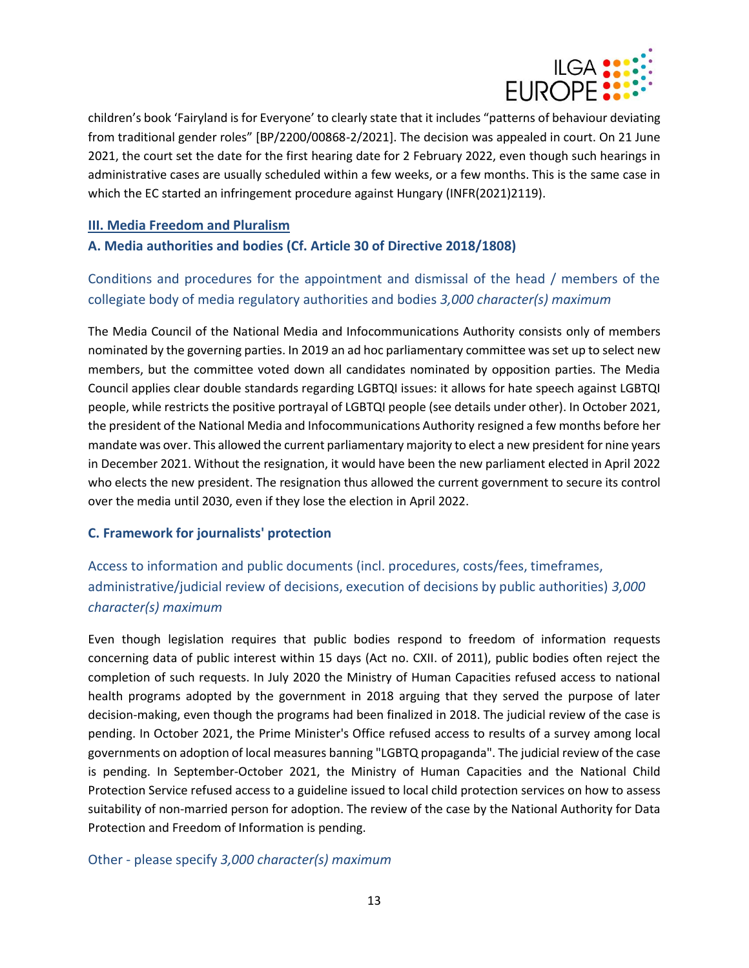

children's book 'Fairyland is for Everyone' to clearly state that it includes "patterns of behaviour deviating from traditional gender roles" [BP/2200/00868-2/2021]. The decision was appealed in court. On 21 June 2021, the court set the date for the first hearing date for 2 February 2022, even though such hearings in administrative cases are usually scheduled within a few weeks, or a few months. This is the same case in which the EC started an infringement procedure against Hungary (INFR(2021)2119).

#### **III. Media Freedom and Pluralism**

## **A. Media authorities and bodies (Cf. Article 30 of Directive 2018/1808)**

# Conditions and procedures for the appointment and dismissal of the head / members of the collegiate body of media regulatory authorities and bodies *3,000 character(s) maximum*

The Media Council of the National Media and Infocommunications Authority consists only of members nominated by the governing parties. In 2019 an ad hoc parliamentary committee was set up to select new members, but the committee voted down all candidates nominated by opposition parties. The Media Council applies clear double standards regarding LGBTQI issues: it allows for hate speech against LGBTQI people, while restricts the positive portrayal of LGBTQI people (see details under other). In October 2021, the president of the National Media and Infocommunications Authority resigned a few months before her mandate was over. This allowed the current parliamentary majority to elect a new president for nine years in December 2021. Without the resignation, it would have been the new parliament elected in April 2022 who elects the new president. The resignation thus allowed the current government to secure its control over the media until 2030, even if they lose the election in April 2022.

#### **C. Framework for journalists' protection**

# Access to information and public documents (incl. procedures, costs/fees, timeframes, administrative/judicial review of decisions, execution of decisions by public authorities) *3,000 character(s) maximum*

Even though legislation requires that public bodies respond to freedom of information requests concerning data of public interest within 15 days (Act no. CXII. of 2011), public bodies often reject the completion of such requests. In July 2020 the Ministry of Human Capacities refused access to national health programs adopted by the government in 2018 arguing that they served the purpose of later decision-making, even though the programs had been finalized in 2018. The judicial review of the case is pending. In October 2021, the Prime Minister's Office refused access to results of a survey among local governments on adoption of local measures banning "LGBTQ propaganda". The judicial review of the case is pending. In September-October 2021, the Ministry of Human Capacities and the National Child Protection Service refused access to a guideline issued to local child protection services on how to assess suitability of non-married person for adoption. The review of the case by the National Authority for Data Protection and Freedom of Information is pending.

#### Other - please specify *3,000 character(s) maximum*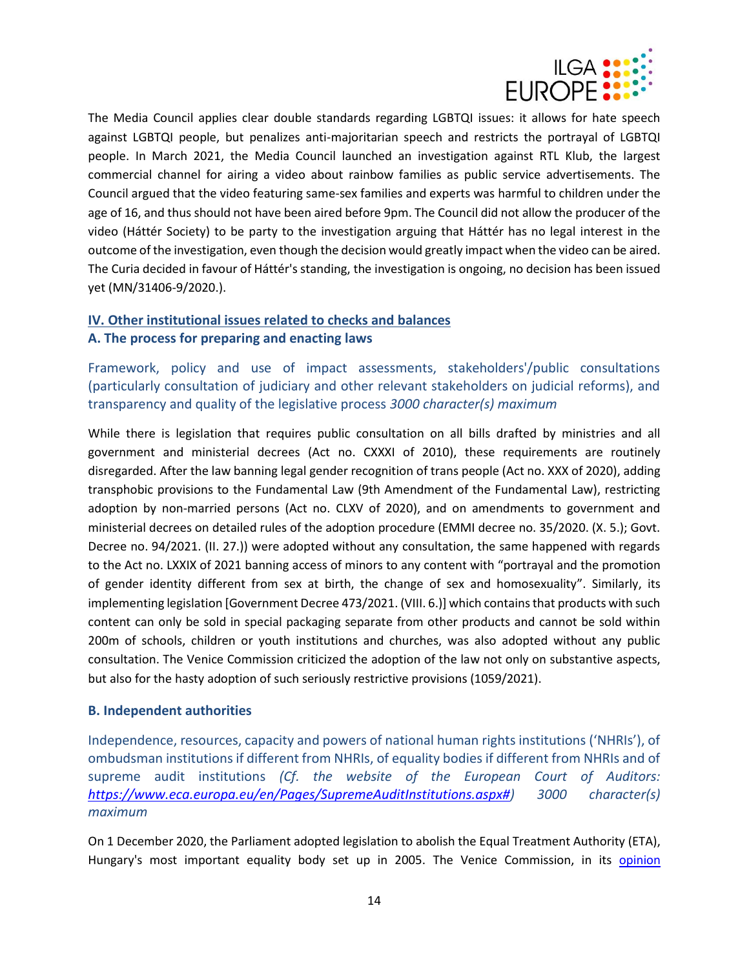

The Media Council applies clear double standards regarding LGBTQI issues: it allows for hate speech against LGBTQI people, but penalizes anti-majoritarian speech and restricts the portrayal of LGBTQI people. In March 2021, the Media Council launched an investigation against RTL Klub, the largest commercial channel for airing a video about rainbow families as public service advertisements. The Council argued that the video featuring same-sex families and experts was harmful to children under the age of 16, and thus should not have been aired before 9pm. The Council did not allow the producer of the video (Háttér Society) to be party to the investigation arguing that Háttér has no legal interest in the outcome of the investigation, even though the decision would greatly impact when the video can be aired. The Curia decided in favour of Háttér's standing, the investigation is ongoing, no decision has been issued yet (MN/31406-9/2020.).

# **IV. Other institutional issues related to checks and balances A. The process for preparing and enacting laws**

Framework, policy and use of impact assessments, stakeholders'/public consultations (particularly consultation of judiciary and other relevant stakeholders on judicial reforms), and transparency and quality of the legislative process *3000 character(s) maximum*

While there is legislation that requires public consultation on all bills drafted by ministries and all government and ministerial decrees (Act no. CXXXI of 2010), these requirements are routinely disregarded. After the law banning legal gender recognition of trans people (Act no. XXX of 2020), adding transphobic provisions to the Fundamental Law (9th Amendment of the Fundamental Law), restricting adoption by non-married persons (Act no. CLXV of 2020), and on amendments to government and ministerial decrees on detailed rules of the adoption procedure (EMMI decree no. 35/2020. (X. 5.); Govt. Decree no. 94/2021. (II. 27.)) were adopted without any consultation, the same happened with regards to the Act no. LXXIX of 2021 banning access of minors to any content with "portrayal and the promotion of gender identity different from sex at birth, the change of sex and homosexuality". Similarly, its implementing legislation [Government Decree 473/2021. (VIII. 6.)] which contains that products with such content can only be sold in special packaging separate from other products and cannot be sold within 200m of schools, children or youth institutions and churches, was also adopted without any public consultation. The Venice Commission criticized the adoption of the law not only on substantive aspects, but also for the hasty adoption of such seriously restrictive provisions (1059/2021).

#### **B. Independent authorities**

Independence, resources, capacity and powers of national human rights institutions ('NHRIs'), of ombudsman institutions if different from NHRIs, of equality bodies if different from NHRIs and of supreme audit institutions *(Cf. the website of the European Court of Auditors: [https://www.eca.europa.eu/en/Pages/SupremeAuditInstitutions.aspx#\)](https://www.eca.europa.eu/en/Pages/SupremeAuditInstitutions.aspx) 3000 character(s) maximum*

On 1 December 2020, the Parliament adopted legislation to abolish the Equal Treatment Authority (ETA), Hungary's most important equality body set up in 2005. The Venice Commission, in its [opinion](https://www.venice.coe.int/webforms/documents/default.aspx?pdffile=CDL-AD(2021)034-e)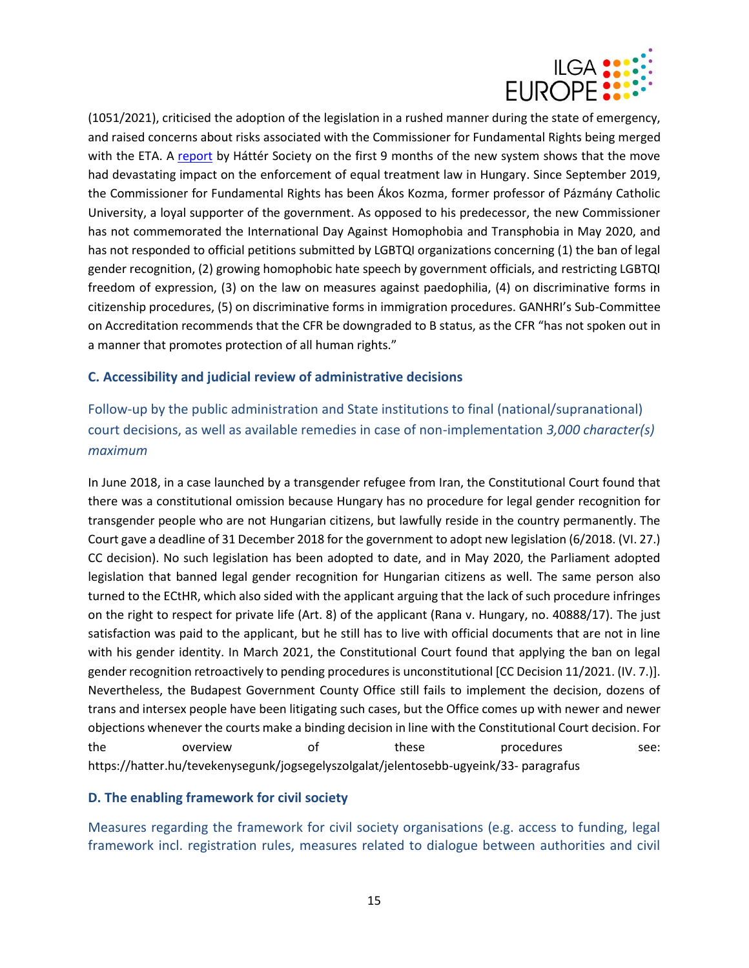

(1051/2021), criticised the adoption of the legislation in a rushed manner during the state of emergency, and raised concerns about risks associated with the Commissioner for Fundamental Rights being merged with the ETA. A [report](https://en.hatter.hu/publications/information-on-the-abolishmentof-the-equal-treatment-authority-in-hungary) by Háttér Society on the first 9 months of the new system shows that the move had devastating impact on the enforcement of equal treatment law in Hungary. Since September 2019, the Commissioner for Fundamental Rights has been Ákos Kozma, former professor of Pázmány Catholic University, a loyal supporter of the government. As opposed to his predecessor, the new Commissioner has not commemorated the International Day Against Homophobia and Transphobia in May 2020, and has not responded to official petitions submitted by LGBTQI organizations concerning (1) the ban of legal gender recognition, (2) growing homophobic hate speech by government officials, and restricting LGBTQI freedom of expression, (3) on the law on measures against paedophilia, (4) on discriminative forms in citizenship procedures, (5) on discriminative forms in immigration procedures. GANHRI's Sub-Committee on Accreditation recommends that the CFR be downgraded to B status, as the CFR "has not spoken out in a manner that promotes protection of all human rights."

#### **C. Accessibility and judicial review of administrative decisions**

Follow-up by the public administration and State institutions to final (national/supranational) court decisions, as well as available remedies in case of non-implementation *3,000 character(s) maximum*

In June 2018, in a case launched by a transgender refugee from Iran, the Constitutional Court found that there was a constitutional omission because Hungary has no procedure for legal gender recognition for transgender people who are not Hungarian citizens, but lawfully reside in the country permanently. The Court gave a deadline of 31 December 2018 for the government to adopt new legislation (6/2018. (VI. 27.) CC decision). No such legislation has been adopted to date, and in May 2020, the Parliament adopted legislation that banned legal gender recognition for Hungarian citizens as well. The same person also turned to the ECtHR, which also sided with the applicant arguing that the lack of such procedure infringes on the right to respect for private life (Art. 8) of the applicant (Rana v. Hungary, no. 40888/17). The just satisfaction was paid to the applicant, but he still has to live with official documents that are not in line with his gender identity. In March 2021, the Constitutional Court found that applying the ban on legal gender recognition retroactively to pending procedures is unconstitutional [CC Decision 11/2021. (IV. 7.)]. Nevertheless, the Budapest Government County Office still fails to implement the decision, dozens of trans and intersex people have been litigating such cases, but the Office comes up with newer and newer objections whenever the courts make a binding decision in line with the Constitutional Court decision. For the overview of these procedures see: https://hatter.hu/tevekenysegunk/jogsegelyszolgalat/jelentosebb-ugyeink/33- paragrafus

#### **D. The enabling framework for civil society**

Measures regarding the framework for civil society organisations (e.g. access to funding, legal framework incl. registration rules, measures related to dialogue between authorities and civil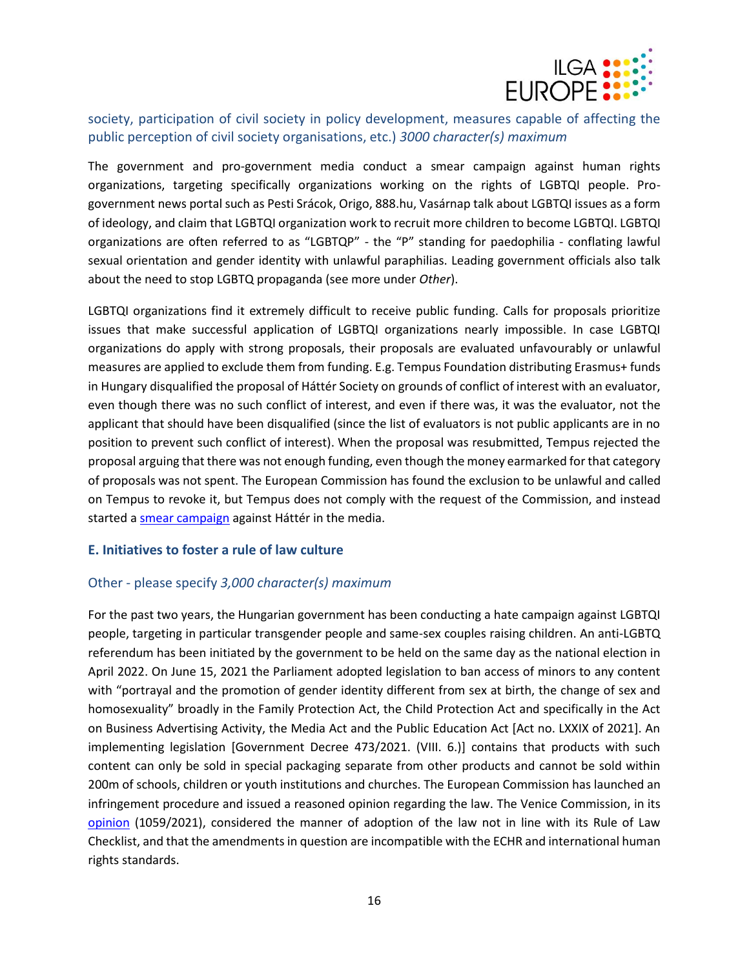

## society, participation of civil society in policy development, measures capable of affecting the public perception of civil society organisations, etc.) *3000 character(s) maximum*

The government and pro-government media conduct a smear campaign against human rights organizations, targeting specifically organizations working on the rights of LGBTQI people. Progovernment news portal such as Pesti Srácok, Origo, 888.hu, Vasárnap talk about LGBTQI issues as a form of ideology, and claim that LGBTQI organization work to recruit more children to become LGBTQI. LGBTQI organizations are often referred to as "LGBTQP" - the "P" standing for paedophilia - conflating lawful sexual orientation and gender identity with unlawful paraphilias. Leading government officials also talk about the need to stop LGBTQ propaganda (see more under *Other*).

LGBTQI organizations find it extremely difficult to receive public funding. Calls for proposals prioritize issues that make successful application of LGBTQI organizations nearly impossible. In case LGBTQI organizations do apply with strong proposals, their proposals are evaluated unfavourably or unlawful measures are applied to exclude them from funding. E.g. Tempus Foundation distributing Erasmus+ funds in Hungary disqualified the proposal of Háttér Society on grounds of conflict of interest with an evaluator, even though there was no such conflict of interest, and even if there was, it was the evaluator, not the applicant that should have been disqualified (since the list of evaluators is not public applicants are in no position to prevent such conflict of interest). When the proposal was resubmitted, Tempus rejected the proposal arguing that there was not enough funding, even though the money earmarked for that category of proposals was not spent. The European Commission has found the exclusion to be unlawful and called on Tempus to revoke it, but Tempus does not comply with the request of the Commission, and instead started a [smear campaign](https://www.origo.hu/nagyvilag/20211228-brusszel-szerint-hianyospalyazattal-is-nyernie-kellene-az-lmbtq-szervezetknek.html) against Háttér in the media.

#### **E. Initiatives to foster a rule of law culture**

#### Other - please specify *3,000 character(s) maximum*

For the past two years, the Hungarian government has been conducting a hate campaign against LGBTQI people, targeting in particular transgender people and same-sex couples raising children. An anti-LGBTQ referendum has been initiated by the government to be held on the same day as the national election in April 2022. On June 15, 2021 the Parliament adopted legislation to ban access of minors to any content with "portrayal and the promotion of gender identity different from sex at birth, the change of sex and homosexuality" broadly in the Family Protection Act, the Child Protection Act and specifically in the Act on Business Advertising Activity, the Media Act and the Public Education Act [Act no. LXXIX of 2021]. An implementing legislation [Government Decree 473/2021. (VIII. 6.)] contains that products with such content can only be sold in special packaging separate from other products and cannot be sold within 200m of schools, children or youth institutions and churches. The European Commission has launched an infringement procedure and issued a reasoned opinion regarding the law. The Venice Commission, in its [opinion](https://www.venice.coe.int/webforms/documents/default.aspx?pdffile=CDL-AD(2021)050-e) (1059/2021), considered the manner of adoption of the law not in line with its Rule of Law Checklist, and that the amendments in question are incompatible with the ECHR and international human rights standards.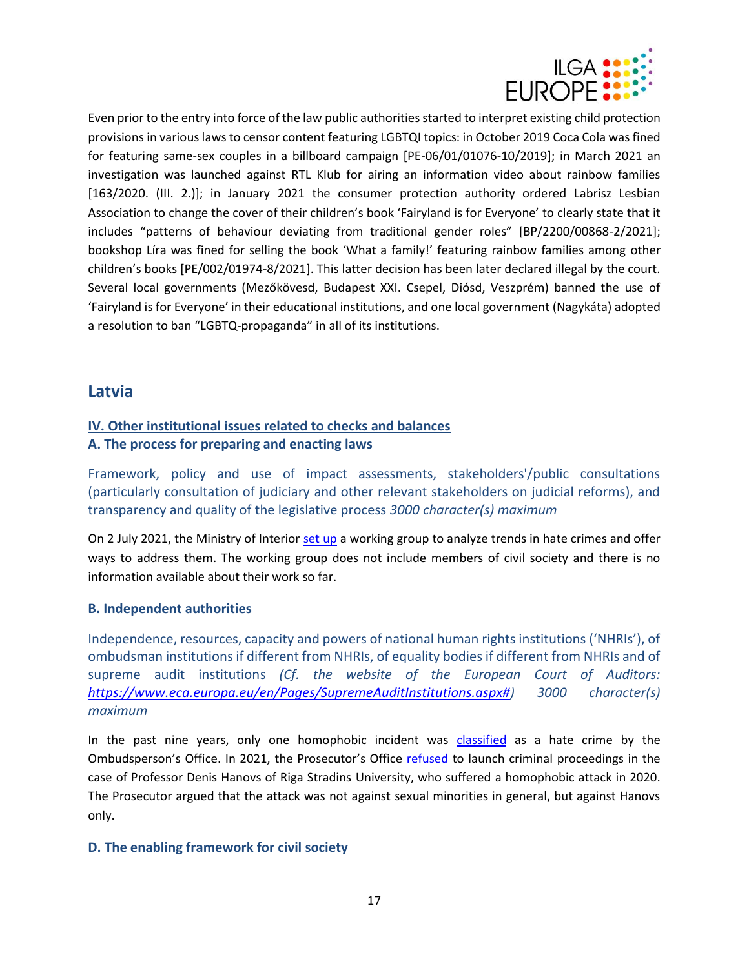

Even prior to the entry into force of the law public authorities started to interpret existing child protection provisions in various laws to censor content featuring LGBTQI topics: in October 2019 Coca Cola was fined for featuring same-sex couples in a billboard campaign [PE-06/01/01076-10/2019]; in March 2021 an investigation was launched against RTL Klub for airing an information video about rainbow families [163/2020. (III. 2.)]; in January 2021 the consumer protection authority ordered Labrisz Lesbian Association to change the cover of their children's book 'Fairyland is for Everyone' to clearly state that it includes "patterns of behaviour deviating from traditional gender roles" [BP/2200/00868-2/2021]; bookshop Líra was fined for selling the book 'What a family!' featuring rainbow families among other children's books [PE/002/01974-8/2021]. This latter decision has been later declared illegal by the court. Several local governments (Mezőkövesd, Budapest XXI. Csepel, Diósd, Veszprém) banned the use of 'Fairyland is for Everyone' in their educational institutions, and one local government (Nagykáta) adopted a resolution to ban "LGBTQ-propaganda" in all of its institutions.

# <span id="page-16-0"></span>**Latvia**

## **IV. Other institutional issues related to checks and balances A. The process for preparing and enacting laws**

Framework, policy and use of impact assessments, stakeholders'/public consultations (particularly consultation of judiciary and other relevant stakeholders on judicial reforms), and transparency and quality of the legislative process *3000 character(s) maximum*

On 2 July 2021, the Ministry of Interior [set up](https://www.lsm.lv/raksts/zinas/latvija/iekslietu-ministrija-izveido-naida-noziegumu-problematikai-veltitu-darba-grupu.a411292/?utm_source=rss&utm_campaign=rss&utm_medium=links&fbclid=IwAR0vNPJYeNqB04Wsr5S7sssKV_M_lRWXdTA1sCDiBPhlPGkQ4l2zTZyEgBc) a working group to analyze trends in hate crimes and offer ways to address them. The working group does not include members of civil society and there is no information available about their work so far.

#### **B. Independent authorities**

Independence, resources, capacity and powers of national human rights institutions ('NHRIs'), of ombudsman institutions if different from NHRIs, of equality bodies if different from NHRIs and of supreme audit institutions *(Cf. the website of the European Court of Auditors: [https://www.eca.europa.eu/en/Pages/SupremeAuditInstitutions.aspx#\)](https://www.eca.europa.eu/en/Pages/SupremeAuditInstitutions.aspx) 3000 character(s) maximum*

In the past nine years, only one homophobic incident was [classified](https://www.lsm.lv/raksts/zinas/latvija/naida-noziegumus-pret-lgbt-attaisno-pat-ar-religisku-parliecibu.a408277/) as a hate crime by the Ombudsperson's Office. In 2021, the Prosecutor's Office [refused](https://www.tvnet.lv/7283557/ari-prokuratura-atsaka-ierosinat-kriminalprocesu-par-homofobisku-uzbrukumu-profesoram-hanovam) to launch criminal proceedings in the case of Professor Denis Hanovs of Riga Stradins University, who suffered a homophobic attack in 2020. The Prosecutor argued that the attack was not against sexual minorities in general, but against Hanovs only.

#### **D. The enabling framework for civil society**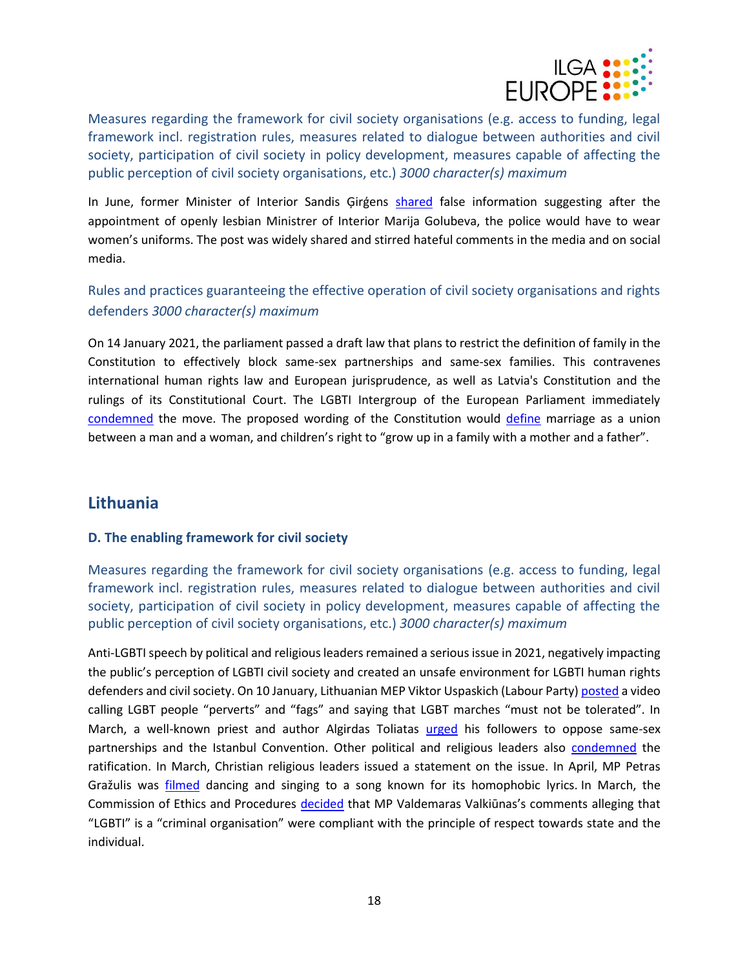

Measures regarding the framework for civil society organisations (e.g. access to funding, legal framework incl. registration rules, measures related to dialogue between authorities and civil society, participation of civil society in policy development, measures capable of affecting the public perception of civil society organisations, etc.) *3000 character(s) maximum*

In June, former Minister of Interior Sandis Girgens [shared](https://rebaltica.lv/2021/06/eksministrs-girgens-izplata-melus-ka-jauna-ministre-mudina-policistus-gerbt-sieviesu-uniformas/) false information suggesting after the appointment of openly lesbian Ministrer of Interior Marija Golubeva, the police would have to wear women's uniforms. The post was widely shared and stirred hateful comments in the media and on social media.

Rules and practices guaranteeing the effective operation of civil society organisations and rights defenders *3000 character(s) maximum*

On 14 January 2021, the parliament passed a draft law that plans to restrict the definition of family in the Constitution to effectively block same-sex partnerships and same-sex families. This contravenes international human rights law and European jurisprudence, as well as Latvia's Constitution and the rulings of its Constitutional Court. The LGBTI Intergroup of the European Parliament immediately [condemned](http://lgbti-ep.eu/2021/01/15/press-release-the-bill-to-redefine-family-in-latvia-is-an-affront-to-lgbti-persons-the-rule-of-law-and-european-values/) the move. The proposed wording of the Constitution would [define](https://www.tvnet.lv/7303519/cvk-parakstu-vaksanai-registre-gimenes-jedziena-grozijumus-satversme?fbclid=IwAR3WkGwRQHNLVSnscR2a6gObtt8iv3Yx53UedUyKEktGlGg0SIFQqKBWTqM) marriage as a union between a man and a woman, and children's right to "grow up in a family with a mother and a father".

# <span id="page-17-0"></span>**Lithuania**

#### **D. The enabling framework for civil society**

Measures regarding the framework for civil society organisations (e.g. access to funding, legal framework incl. registration rules, measures related to dialogue between authorities and civil society, participation of civil society in policy development, measures capable of affecting the public perception of civil society organisations, etc.) *3000 character(s) maximum*

Anti-LGBTI speech by political and religious leaders remained a serious issue in 2021, negatively impacting the public's perception of LGBTI civil society and created an unsafe environment for LGBTI human rights defenders and civil society. On 10 January, Lithuanian MEP Viktor Uspaskich (Labour Party[\) posted](https://www.lrt.lt/en/news-in-english/19/1318321/meps-demand-lithuanian-politician-to-explain-homophobic-remarks) a video calling LGBT people "perverts" and "fags" and saying that LGBT marches "must not be tolerated". In March, a well-known priest and author Algirdas Toliatas [urged](https://www.lrt.lt/en/news-in-english/19/1355935/inquisition-of-the-church-celebrity-priest-in-lithuania-ignites-controversy-over-istanbul-convention) his followers to oppose same-sex partnerships and the Istanbul Convention. Other political and religious leaders also [condemned](https://www.lrt.lt/en/news-in-english/19/1361423/lithuania-s-religious-leaders-voice-opposition-to-istanbul-convention-and-same-sex-partnership) the ratification. In March, Christian religious leaders issued a statement on the issue. In April, MP Petras Gražulis was *[filmed](https://www.lrt.lt/en/news-in-english/19/1386339/firebrand-lithuanian-mp-filmed-in-another-homophobic-stunt-with-group-of-men)* dancing and singing to a song known for its homophobic lyrics. In March, the Commission of Ethics and Procedures [decided](https://www.lrt.lt/naujienos/lietuvoje/2/1356823/valkiuno-komentarai-apie-pideralizacija-pripazinti-nepazeide-pagarbos-zmogui-principo) that MP Valdemaras Valkiūnas's comments alleging that "LGBTI" is a "criminal organisation" were compliant with the principle of respect towards state and the individual.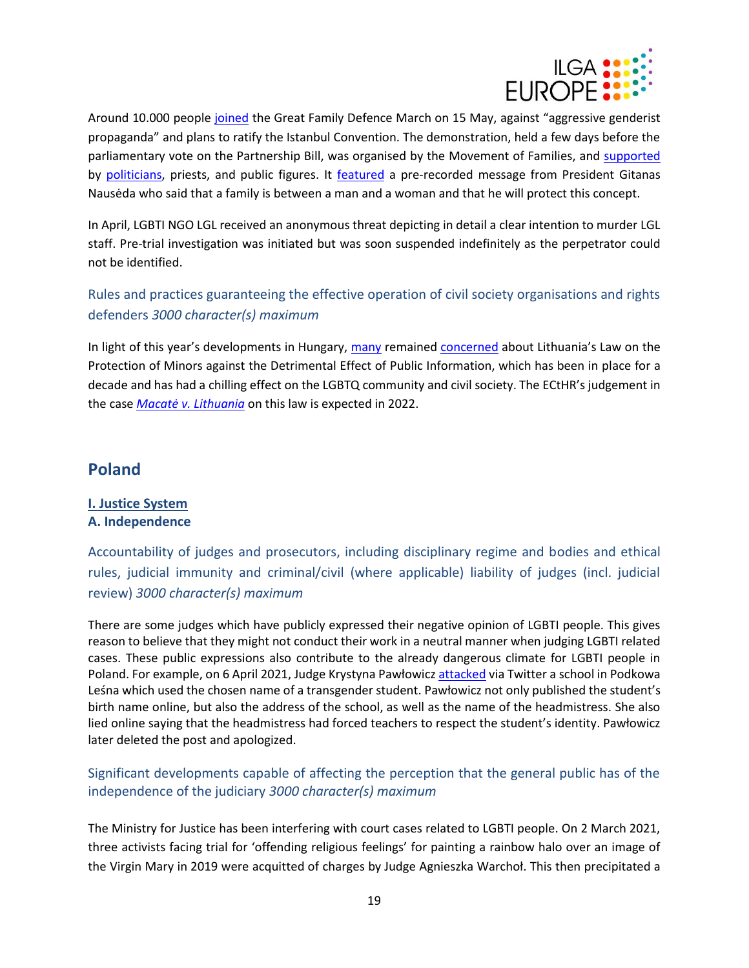

Around 10.000 people [joined](https://www.euronews.com/2021/05/25/bill-to-allow-same-sex-partnerships-in-lithuania-falls-at-first-hurdle) the Great Family Defence March on 15 May, against "aggressive genderist propaganda" and plans to ratify the Istanbul Convention. The demonstration, held a few days before the parliamentary vote on the Partnership Bill, was organised by the Movement of Families, and [supported](https://www.lrt.lt/en/news-in-english/19/1407354/planned-rally-against-genderist-propaganda-electrifies-lithuania) by [politicians,](https://www.15min.lt/en/article/politics/some-members-of-the-parliament-will-also-rise-the-flag-of-family-defines-other-politicians-warn-of-possible-risks-526-1501288) priests, and public figures. It [featured](https://www.lrt.lt/en/news-in-english/19/1410566/lithuanian-president-addresses-rally-against-genderist-propaganda-backs-traditional-families) a pre-recorded message from President Gitanas Nausėda who said that a family is between a man and a woman and that he will protect this concept.

In April, LGBTI NGO LGL received an anonymous threat depicting in detail a clear intention to murder LGL staff. Pre-trial investigation was initiated but was soon suspended indefinitely as the perpetrator could not be identified.

Rules and practices guaranteeing the effective operation of civil society organisations and rights defenders *3000 character(s) maximum*

In light of this year's developments in Hungary, [many](https://www.lrt.lt/en/news-in-english/19/1411372/foreign-ambassadors-issue-statement-against-lgbt-discrimination-in-lithuania) remained [concerned](https://www.lrt.lt/en/news-in-english/19/1522754/lithuania-s-gay-propaganda-law-lives-on-despite-opposition) about Lithuania's Law on the Protection of Minors against the Detrimental Effect of Public Information, which has been in place for a decade and has had a chilling effect on the LGBTQ community and civil society. The ECtHR's judgement in the case *[Macatė v. Lithuania](https://hudoc.echr.coe.int/app/conversion/pdf/?library=ECHR&id=003-7109769-9627447&filename=Relinquishment%20in%20favour%20of%20the%20Grand%20Chamber%20in%20the%20case%20Macate%20v.%20Lithuania%20.pdf)* on this law is expected in 2022.

# <span id="page-18-0"></span>**Poland**

#### **I. Justice System A. Independence**

Accountability of judges and prosecutors, including disciplinary regime and bodies and ethical rules, judicial immunity and criminal/civil (where applicable) liability of judges (incl. judicial review) *3000 character(s) maximum*

There are some judges which have publicly expressed their negative opinion of LGBTI people. This gives reason to believe that they might not conduct their work in a neutral manner when judging LGBTI related cases. These public expressions also contribute to the already dangerous climate for LGBTI people in Poland. For example, on 6 April 2021, Judge Krystyna Pawłowicz [attacked](https://oko.press/pawlowicz-przeprasza-transplciowe-dziecko-nie-chcialam-sprawic-przykrosci-za-pozno/) via Twitter a school in Podkowa Leśna which used the chosen name of a transgender student. Pawłowicz not only published the student's birth name online, but also the address of the school, as well as the name of the headmistress. She also lied online saying that the headmistress had forced teachers to respect the student's identity. Pawłowicz later deleted the post and apologized.

# Significant developments capable of affecting the perception that the general public has of the independence of the judiciary *3000 character(s) maximum*

The Ministry for Justice has been interfering with court cases related to LGBTI people. On 2 March 2021, three activists facing trial for 'offending religious feelings' for painting a rainbow halo over an image of the Virgin Mary in 2019 were acquitted of charges by Judge Agnieszka Warchoł. This then precipitated a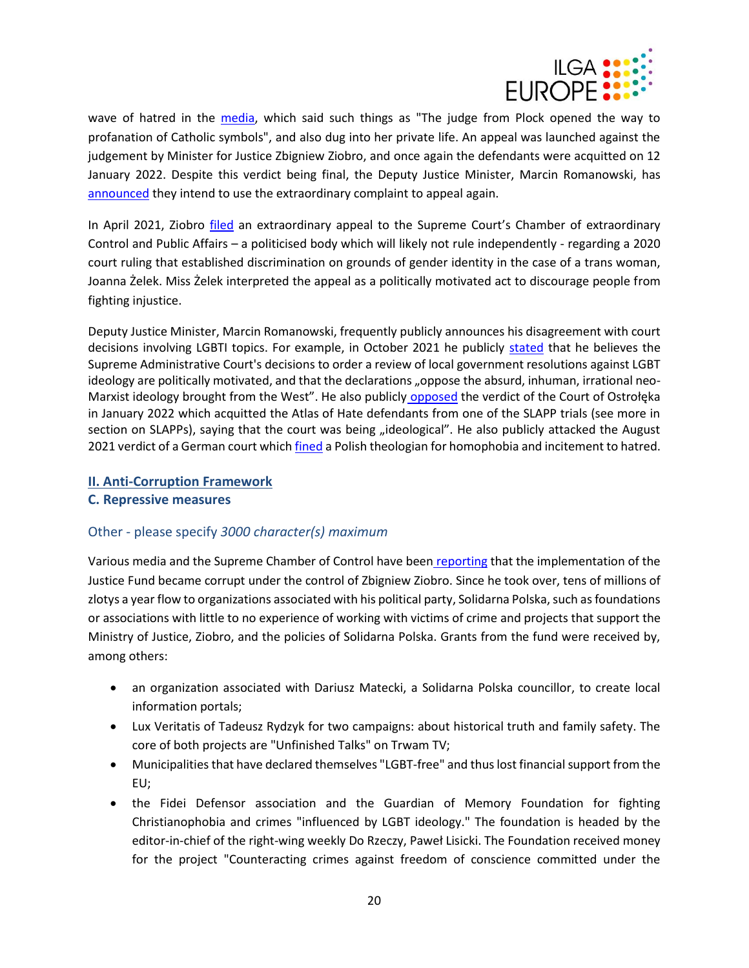

wave of hatred in the [media,](https://pch24.pl/sad-przyzwala-na-eskalacje-aktow-profanacji/) which said such things as "The judge from Plock opened the way to profanation of Catholic symbols", and also dug into her private life. An appeal was launched against the judgement by Minister for Justice Zbigniew Ziobro, and once again the defendants were acquitted on 12 January 2022. Despite this verdict being final, the Deputy Justice Minister, Marcin Romanowski, has [announced](https://twitter.com/MarRomanowski/status/1481298308027015174) they intend to use the extraordinary complaint to appeal again.

In April 2021, Ziobro [filed](https://kph.org.pl/zbigniew-ziobro-za-wszelka-cene-chce-obalic-wyrok-o-ochronie-praw-osob-transplciowych/) an extraordinary appeal to the Supreme Court's Chamber of extraordinary Control and Public Affairs – a politicised body which will likely not rule independently - regarding a 2020 court ruling that established discrimination on grounds of gender identity in the case of a trans woman, Joanna Żelek. Miss Żelek interpreted the appeal as a politically motivated act to discourage people from fighting injustice.

Deputy Justice Minister, Marcin Romanowski, frequently publicly announces his disagreement with court decisions involving LGBTI topics. For example, in October 2021 he publicly [stated](https://www.wnp.pl/parlamentarny/wydarzenia/nasz-dziennik-o-uchwalach-samorzadow-przeciw-lgbt-nakaz-ich-kontrolowania-jest-nacechowany-politycznie,165906.html) that he believes the Supreme Administrative Court's decisions to order a review of local government resolutions against LGBT ideology are politically motivated, and that the declarations "oppose the absurd, inhuman, irrational neoMarxist ideology brought from the West". He also publicly [opposed](https://www.radiomaryja.pl/informacje/ideologiczny-wyrok-sadu-w-ostrolece/) the verdict of the Court of Ostrołęka in January 2022 which acquitted the Atlas of Hate defendants from one of the SLAPP trials (see more in section on SLAPPs), saying that the court was being "ideological". He also publicly attacked the August 2021 verdict of a German court which [fined](https://www.politico.eu/article/germany-poland-dariusz-oko-lgbtq-influence-vatican/) a Polish theologian for homophobia and incitement to hatred.

#### **II. Anti-Corruption Framework**

#### **C. Repressive measures**

#### Other - please specify *3000 character(s) maximum*

Various media and the Supreme Chamber of Control have been [reporting](https://oko.press/ziobro-fundusz-sprawiedliwosci-fratria/) that the implementation of the Justice Fund became corrupt under the control of Zbigniew Ziobro. Since he took over, tens of millions of zlotys a year flow to organizations associated with his political party, Solidarna Polska, such as foundations or associations with little to no experience of working with victims of crime and projects that support the Ministry of Justice, Ziobro, and the policies of Solidarna Polska. Grants from the fund were received by, among others:

- an organization associated with Dariusz Matecki, a Solidarna Polska councillor, to create local information portals;
- Lux Veritatis of Tadeusz Rydzyk for two campaigns: about historical truth and family safety. The core of both projects are "Unfinished Talks" on Trwam TV;
- Municipalities that have declared themselves "LGBT-free" and thus lost financialsupport from the EU;
- the Fidei Defensor association and the Guardian of Memory Foundation for fighting Christianophobia and crimes "influenced by LGBT ideology." The foundation is headed by the editor-in-chief of the right-wing weekly Do Rzeczy, Paweł Lisicki. The Foundation received money for the project "Counteracting crimes against freedom of conscience committed under the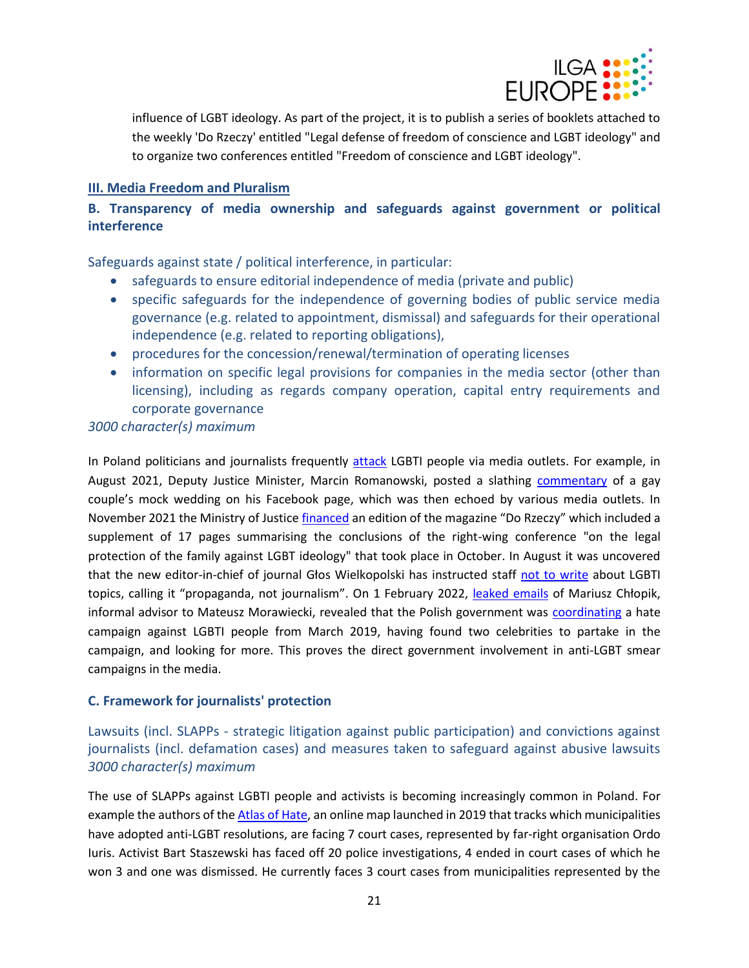

influence of LGBT ideology. As part of the project, it is to publish a series of booklets attached to the weekly 'Do Rzeczy' entitled "Legal defense of freedom of conscience and LGBT ideology" and to organize two conferences entitled "Freedom of conscience and LGBT ideology".

#### **III. Media Freedom and Pluralism**

# **B. Transparency of media ownership and safeguards against government or political interference**

Safeguards against state / political interference, in particular:

- safeguards to ensure editorial independence of media (private and public)
- specific safeguards for the independence of governing bodies of public service media governance (e.g. related to appointment, dismissal) and safeguards for their operational independence (e.g. related to reporting obligations),
- procedures for the concession/renewal/termination of operating licenses
- information on specific legal provisions for companies in the media sector (other than licensing), including as regards company operation, capital entry requirements and corporate governance

#### *3000 character(s) maximum*

In Poland politicians and journalists frequently [attack](https://oko.press/bart-staszewski-nagle-atakuja-cie-anonimowe-trolle-na-celowniku/) LGBTI people via media outlets. For example, in August 2021, Deputy Justice Minister, Marcin Romanowski, posted a slathing [commentary](https://www.facebook.com/drmarcinromanowski/posts/273899424541686) of a gay couple's mock wedding on his Facebook page, which was then echoed by various media outlets. In November 2021 the Ministry of Justic[e financed](https://noizz.pl/lgbt/fundusz-sprawiedliwosci-ziobry-wylozyl-pieniadze-na-wydanie-magazynu-anty-lgbt/1vebcck) an edition of the magazine "Do Rzeczy" which included a supplement of 17 pages summarising the conclusions of the right-wing conference "on the legal protection of the family against LGBT ideology" that took place in October. In August it was uncovered that the new editor-in-chief of journal Głos Wielkopolski has instructed staff [not to write](https://noizz.pl/spoleczenstwo/zakaz-pisania-o-lgbt-w-glosie-wielkopolskim-przejetym-przez-orlen/d7b5trv) about LGBTI topics, calling it "propaganda, not journalism". On 1 February 2022, [leaked emails](https://wiadomosci.wp.pl/afera-mailowa-kulisy-nagonki-na-lgbt-pada-nazwisko-bonka-6732686743300800a) of Mariusz Chłopik, informal advisor to Mateusz Morawiecki, revealed that the Polish government was [coordinating](https://twitter.com/rochkowalski/status/1488493988550164481) a hate campaign against LGBTI people from March 2019, having found two celebrities to partake in the campaign, and looking for more. This proves the direct government involvement in anti-LGBT smear campaigns in the media.

#### **C. Framework for journalists' protection**

Lawsuits (incl. SLAPPs - strategic litigation against public participation) and convictions against journalists (incl. defamation cases) and measures taken to safeguard against abusive lawsuits *3000 character(s) maximum*

The use of SLAPPs against LGBTI people and activists is becoming increasingly common in Poland. For example the authors of th[e Atlas of Hate,](https://atlasnienawisci.pl/) an online map launched in 2019 that tracks which municipalities have adopted anti-LGBT resolutions, are facing 7 court cases, represented by far-right organisation Ordo Iuris. Activist Bart Staszewski has faced off 20 police investigations, 4 ended in court cases of which he won 3 and one was dismissed. He currently faces 3 court cases from municipalities represented by the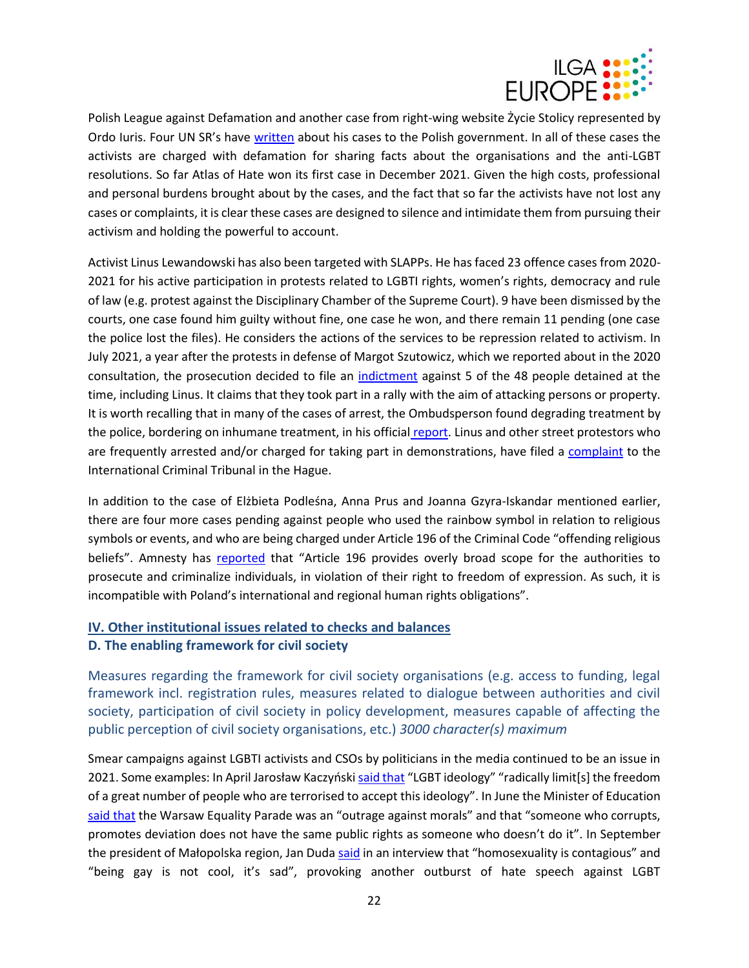

Polish League against Defamation and another case from right-wing website Życie Stolicy represented by Ordo Iuris. Four UN SR's have [written](https://spcommreports.ohchr.org/TMResultsBase/DownLoadPublicCommunicationFile?gId=26820) about his cases to the Polish government. In all of these cases the activists are charged with defamation for sharing facts about the organisations and the anti-LGBT resolutions. So far Atlas of Hate won its first case in December 2021. Given the high costs, professional and personal burdens brought about by the cases, and the fact that so far the activists have not lost any cases or complaints, it is clear these cases are designed to silence and intimidate them from pursuing their activism and holding the powerful to account.

Activist Linus Lewandowski has also been targeted with SLAPPs. He has faced 23 offence cases from 2020- 2021 for his active participation in protests related to LGBTI rights, women's rights, democracy and rule of law (e.g. protest against the Disciplinary Chamber of the Supreme Court). 9 have been dismissed by the courts, one case found him guilty without fine, one case he won, and there remain 11 pending (one case the police lost the files). He considers the actions of the services to be repression related to activism. In July 2021, a year after the protests in defense of Margot Szutowicz, which we reported about in the 2020 consultation, the prosecution decided to file an [indictment](https://oko.press/prokuratura-sciga-piecioro-uczestnikow-protestu-w-obronie-margot/) against 5 of the 48 people detained at the time, including Linus. It claims that they took part in a rally with the aim of attacking persons or property. It is worth recalling that in many of the cases of arrest, the Ombudsperson found degrading treatment by the police, bordering on inhumane treatment, in his official [report.](https://bip.brpo.gov.pl/sites/default/files/Raport%20%20KMPT%20z%20wizytacji%20jednostek%20policyjnych%20po%20zatrzymaniach%20w%20Warszawie%207.08.2020,%20%207.09.2020.pdf) Linus and other street protestors who are frequently arrested and/or charged for taking part in demonstrations, have filed a [complaint](https://www.prawo.pl/prawnicy-sady/wniosek-do-trybunalu-w-hadze-ws-masowych-zatrzyman-w-polsce,511588.html) to the International Criminal Tribunal in the Hague.

In addition to the case of Elżbieta Podleśna, Anna Prus and Joanna Gzyra-Iskandar mentioned earlier, there are four more cases pending against people who used the rainbow symbol in relation to religious symbols or events, and who are being charged under Article 196 of the Criminal Code "offending religious beliefs". Amnesty has [reported](https://www.amnesty.org/en/latest/news/2022/01/poland-verdict-in-prosecution-of-women-who-put-up-posters-of-virgin-mary-with-rainbow-halo-expected/) that "Article 196 provides overly broad scope for the authorities to prosecute and criminalize individuals, in violation of their right to freedom of expression. As such, it is incompatible with Poland's international and regional human rights obligations".

# **IV. Other institutional issues related to checks and balances**

#### **D. The enabling framework for civil society**

Measures regarding the framework for civil society organisations (e.g. access to funding, legal framework incl. registration rules, measures related to dialogue between authorities and civil society, participation of civil society in policy development, measures capable of affecting the public perception of civil society organisations, etc.) *3000 character(s) maximum*

Smear campaigns against LGBTI activists and CSOs by politicians in the media continued to be an issue in 2021. Some examples: In April Jarosław Kaczyński [said that](https://notesfrompoland.com/2021/04/02/lgbt-ideology-weakens-the-west-and-terrorises-people-warns-polish-leader-kaczynski/) "LGBT ideology" "radically limit[s] the freedom of a great number of people who are terrorised to accept this ideology". In June the Minister of Education [said that](https://www.reuters.com/world/europe/polish-education-minister-says-lgbt-march-insult-public-morality-2021-06-23/) the Warsaw Equality Parade was an "outrage against morals" and that "someone who corrupts, promotes deviation does not have the same public rights as someone who doesn't do it". In September the president of Małopolska region, Jan Duda [said](https://newsbeezer.com/polandeng/jan-duda-on-homosexuality-its-largely-a-contagious-phenomenon/) in an interview that "homosexuality is contagious" and "being gay is not cool, it's sad", provoking another outburst of hate speech against LGBT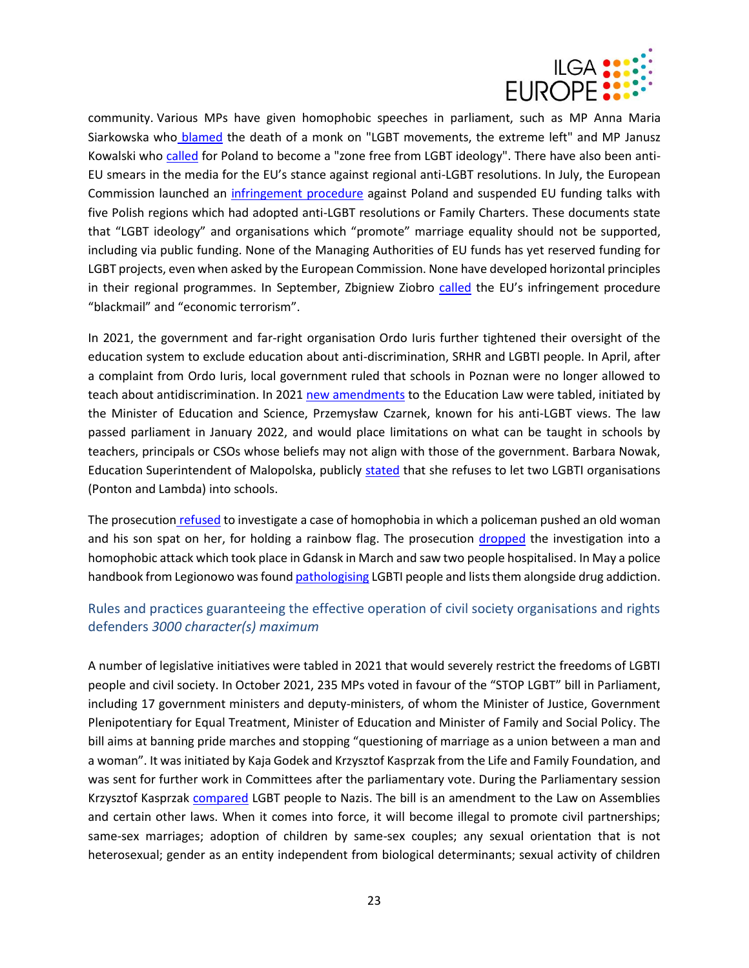

community. Various MPs have given homophobic speeches in parliament, such as MP Anna Maria Siarkowska who [blamed](https://wiadomosci.wp.pl/smierc-zakonnika-w-siedlcach-poslanka-pis-oskarza-lgbt-i-skrajna-lewice-6705437696584640a) the death of a monk on "LGBT movements, the extreme left" and MP Janusz Kowalski who [called](https://oko.press/projekt-homofobicznych-fanatykow-poparty/) for Poland to become a "zone free from LGBT ideology". There have also been anti-EU smears in the media for the EU's stance against regional anti-LGBT resolutions. In July, the European Commission launched an [infringement procedure](https://ilga-europe.org/resources/rainbow-digest/july-2021) against Poland and suspended EU funding talks with five Polish regions which had adopted anti-LGBT resolutions or Family Charters. These documents state that "LGBT ideology" and organisations which "promote" marriage equality should not be supported, including via public funding. None of the Managing Authorities of EU funds has yet reserved funding for LGBT projects, even when asked by the European Commission. None have developed horizontal principles in their regional programmes. In September, Zbigniew Ziobro [called](https://www.starobserver.com.au/news/polish-provinces-roll-back-lgbt-free-zones-after-eu-threat-to-cut-funds/206041) the EU's infringement procedure "blackmail" and "economic terrorism".

In 2021, the government and far-right organisation Ordo Iuris further tightened their oversight of the education system to exclude education about anti-discrimination, SRHR and LGBTI people. In April, after a complaint from Ordo Iuris, local government ruled that schools in Poznan were no longer allowed to teach about antidiscrimination. In 2021 [new amendments](https://kph.org.pl/akcja-spoleczna-wolna-szkola/) to the Education Law were tabled, initiated by the Minister of Education and Science, Przemysław Czarnek, known for his anti-LGBT views. The law passed parliament in January 2022, and would place limitations on what can be taught in schools by teachers, principals or CSOs whose beliefs may not align with those of the government. Barbara Nowak, Education Superintendent of Malopolska, publicly [stated](https://wiadomosci.wp.pl/krakow/malopolska-kurator-oswiaty-o-grupie-ponton-i-lambda-nie-wpuszcze-do-szkoly-6723814982515552a) that she refuses to let two LGBTI organisations (Ponton and Lambda) into schools.

The prosecution [refused](https://warszawa.wyborcza.pl/warszawa/7,54420,27173396,wiemy-kim-jest-napastnik-ktory-przewrocil-babcie-kasie-na.html) to investigate a case of homophobia in which a policeman pushed an old woman and his son spat on her, for holding a rainbow flag. The prosecution [dropped](https://wiadomosci.wp.pl/umorzono-sledztwo-ws-pobicia-osob-lgbt-w-gdansku-dulkiewicz-budzi-to-duzy-sprzeciw-6658387911416352a) the investigation into a homophobic attack which took place in Gdansk in March and saw two people hospitalised. In May a police handbook from Legionowo was foun[d pathologising](https://wiadomosci.wp.pl/policyjny-podrecznik-dyskryminuje-spolecznosc-lgbt-rpo-reaguje-6637026182196064a) LGBTI people and lists them alongside drug addiction.

# Rules and practices guaranteeing the effective operation of civil society organisations and rights defenders *3000 character(s) maximum*

A number of legislative initiatives were tabled in 2021 that would severely restrict the freedoms of LGBTI people and civil society. In October 2021, 235 MPs voted in favour of the "STOP LGBT" bill in Parliament, including 17 government ministers and deputy-ministers, of whom the Minister of Justice, Government Plenipotentiary for Equal Treatment, Minister of Education and Minister of Family and Social Policy. The bill aims at banning pride marches and stopping "questioning of marriage as a union between a man and a woman". It was initiated by Kaja Godek and Krzysztof Kasprzak from the Life and Family Foundation, and was sent for further work in Committees after the parliamentary vote. During the Parliamentary session Krzysztof Kasprzak [compared](https://oko.press/projekt-homofobicznych-fanatykow-poparty/) LGBT people to Nazis. The bill is an amendment to the Law on Assemblies and certain other laws. When it comes into force, it will become illegal to promote civil partnerships; same-sex marriages; adoption of children by same-sex couples; any sexual orientation that is not heterosexual; gender as an entity independent from biological determinants; sexual activity of children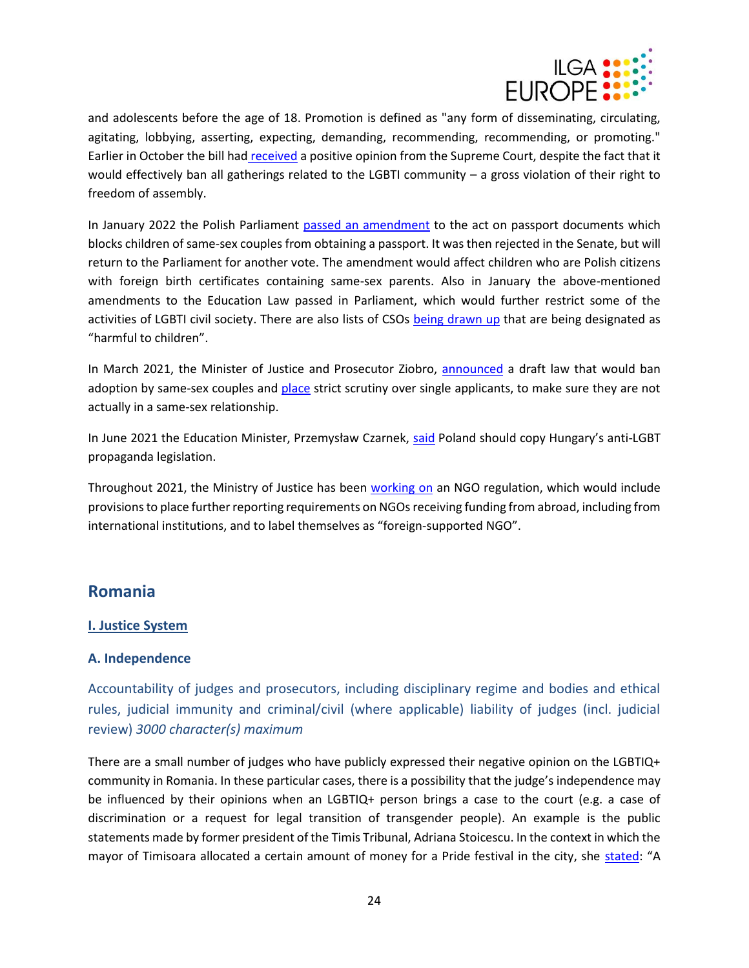

and adolescents before the age of 18. Promotion is defined as "any form of disseminating, circulating, agitating, lobbying, asserting, expecting, demanding, recommending, recommending, or promoting." Earlier in October the bill had [received](https://wiadomosci.wp.pl/kaja-godek-triumfuje-stop-lgbt-bez-uwag-sadu-najwyzszego-6693086271986304a) a positive opinion from the Supreme Court, despite the fact that it would effectively ban all gatherings related to the LGBTI community – a gross violation of their right to freedom of assembly.

In January 2022 the Polish Parliament [passed an amendment](https://oko.press/paszporty-dzieci-jednoplciowe-pary-lgbt-ordo-iuris/) to the act on passport documents which blocks children of same-sex couples from obtaining a passport. It was then rejected in the Senate, but will return to the Parliament for another vote. The amendment would affect children who are Polish citizens with foreign birth certificates containing same-sex parents. Also in January the above-mentioned amendments to the Education Law passed in Parliament, which would further restrict some of the activities of LGBTI civil society. There are also lists of CSOs [being drawn up](https://oko.press/kurator-nowak-wspolpracuje-z-ordo-iuris-i-antyszczepionkowcami-na-biurku-ma-juz-liste-niepozadanych-organizacji/) that are being designated as "harmful to children".

In March 2021, the Minister of Justice and Prosecutor Ziobro, [announced](https://kph.org.pl/minister-ziobro-wykorzystuje-dzieci-aby-realizowac-homofobiczna-wizje-polski-oswiadczenie-kph/) a draft law that would ban adoption by same-sex couples and [place](https://www.pinknews.co.uk/2021/03/13/poland-adoption-gay-same-sex-couples-singles/) strict scrutiny over single applicants, to make sure they are not actually in a same-sex relationship.

In June 2021 the Education Minister, Przemysław Czarnek, [said](https://www.reuters.com/world/europe/poland-should-copy-hungarian-lgbt-law-says-polish-minister-2021-06-28/) Poland should copy Hungary's anti-LGBT propaganda legislation.

Throughout 2021, the Ministry of Justice has been [working on](https://publicystyka.ngo.pl/projekt-o-sprawozdawczosci-ngo-ministerstwo-sprawiedliwosci-proponuje-przepisy-o-finansowaniu-z-zagranicy) an NGO regulation, which would include provisions to place further reporting requirements on NGOs receiving funding from abroad, including from international institutions, and to label themselves as "foreign-supported NGO".

# <span id="page-23-0"></span>**Romania**

#### **I. Justice System**

#### **A. Independence**

Accountability of judges and prosecutors, including disciplinary regime and bodies and ethical rules, judicial immunity and criminal/civil (where applicable) liability of judges (incl. judicial review) *3000 character(s) maximum*

There are a small number of judges who have publicly expressed their negative opinion on the LGBTIQ+ community in Romania. In these particular cases, there is a possibility that the judge's independence may be influenced by their opinions when an LGBTIQ+ person brings a case to the court (e.g. a case of discrimination or a request for legal transition of transgender people). An example is the public statements made by former president of the Timis Tribunal, Adriana Stoicescu. In the context in which the mayor of Timisoara allocated a certain amount of money for a Pride festival in the city, she [stated](https://www.g4media.ro/derapaj-al-unei-judecatoare-la-adresa-comunitatii-lgbtq-fosta-presedinta-a-tribunalului-timis-adriana-stoicescu-o-mana-de-imberbi-carora-nu-le-creste-barba-si-care-nu-se-hotarasc-daca-sa.html): "A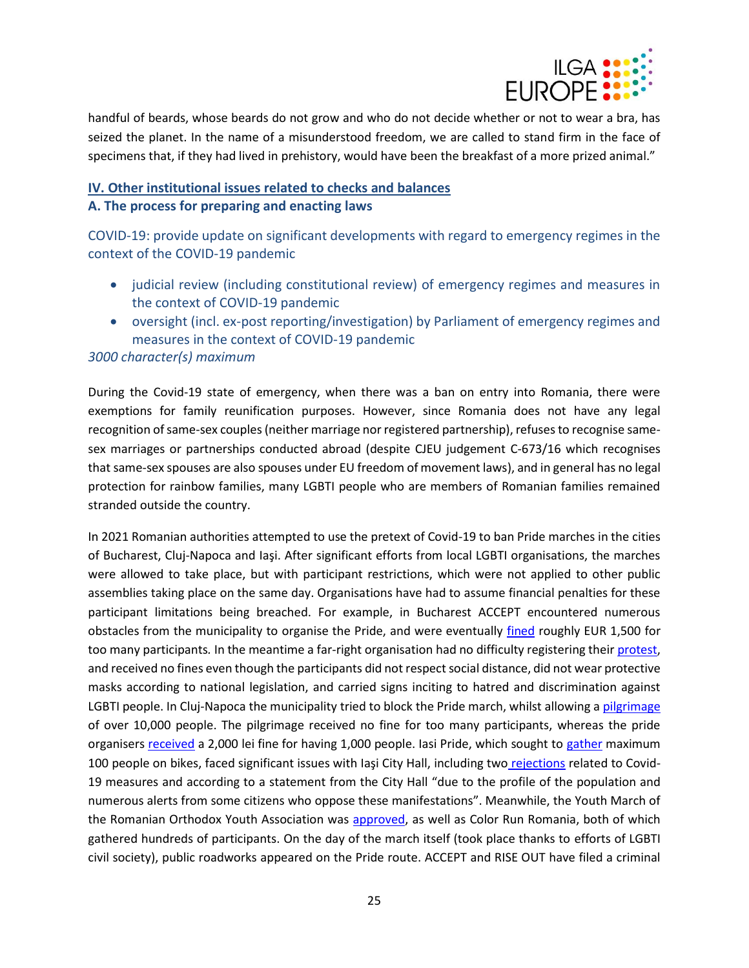

handful of beards, whose beards do not grow and who do not decide whether or not to wear a bra, has seized the planet. In the name of a misunderstood freedom, we are called to stand firm in the face of specimens that, if they had lived in prehistory, would have been the breakfast of a more prized animal."

# **IV. Other institutional issues related to checks and balances A. The process for preparing and enacting laws**

COVID-19: provide update on significant developments with regard to emergency regimes in the context of the COVID-19 pandemic

- judicial review (including constitutional review) of emergency regimes and measures in the context of COVID-19 pandemic
- oversight (incl. ex-post reporting/investigation) by Parliament of emergency regimes and measures in the context of COVID-19 pandemic

#### *3000 character(s) maximum*

During the Covid-19 state of emergency, when there was a ban on entry into Romania, there were exemptions for family reunification purposes. However, since Romania does not have any legal recognition of same-sex couples (neither marriage nor registered partnership), refuses to recognise samesex marriages or partnerships conducted abroad (despite CJEU judgement C-673/16 which recognises that same-sex spouses are also spouses under EU freedom of movement laws), and in general has no legal protection for rainbow families, many LGBTI people who are members of Romanian families remained stranded outside the country.

In 2021 Romanian authorities attempted to use the pretext of Covid-19 to ban Pride marches in the cities of Bucharest, Cluj-Napoca and Iaşi. After significant efforts from local LGBTI organisations, the marches were allowed to take place, but with participant restrictions, which were not applied to other public assemblies taking place on the same day. Organisations have had to assume financial penalties for these participant limitations being breached. For example, in Bucharest ACCEPT encountered numerous obstacles from the municipality to organise the Pride, and were eventually [fined](https://www.agerpres.ro/comunicate/2021/08/14/comunicat-de-presa-asociatia-accept--763672) roughly EUR 1,500 for too many participants*.* In the meantime a far-right organisation had no difficulty registering thei[r protest,](https://www.g4media.ro/foto-marsul-normalitatii-organizat-de-noua-dreapta-cateva-sute-de-participanti-unii-imbracati-in-port-popular-purtand-icoane-si-pancarte-cu-mesaje-anti-lgbt-dar-si-impotriva-pers.html) and received no fines even though the participants did not respect social distance, did not wear protective masks according to national legislation, and carried signs inciting to hatred and discrimination against LGBTI people. In Cluj-Napoca the municipality tried to block the Pride march, whilst allowing a [pilgrimage](https://www.digi24.ro/stiri/actualitate/social/dealul-manastirii-nicula-din-cluj-este-plin-10-000-de-oameni-asteptati-la-primul-pelerinaj-fara-restrictii-1633715) of over 10,000 people. The pilgrimage received no fine for too many participants, whereas the pride organisers [received](https://www.monitorulcj.ro/actualitate/93449-marsul-cluj-pride-2021-amendat-dupa-o-luna-pelerinajul-de-la-nicula-inca-neobservat) a 2,000 lei fine for having 1,000 people. Iasi Pride, which sought to [gather](https://www.g4media.ro/festival-lgbtq-la-iasi-fara-mars-dar-cu-traseu-pe-biciclete.html) maximum 100 people on bikes, faced significant issues with Iaşi City Hall, including two [rejections](https://ziare.com/stiri/eveniment/mihai-chirica-parada-lgbt-iasi-respinsa-manifestare-religioasa-1702753) related to Covid-19 measures and according to a statement from the City Hall "due to the profile of the population and numerous alerts from some citizens who oppose these manifestations". Meanwhile, the Youth March of the Romanian Orthodox Youth Association was [approved,](https://www.mediafax.ro/social/foto-video-primul-mars-pride-din-iasi-sarbatorirea-diversitatii-sanctionata-de-preoti-se-propaga-pe-strazile-iasului-chipul-pacatului-contra-firii-20283370) as well as Color Run Romania, both of which gathered hundreds of participants. On the day of the march itself (took place thanks to efforts of LGBTI civil society), public roadworks appeared on the Pride route. ACCEPT and RISE OUT have filed a criminal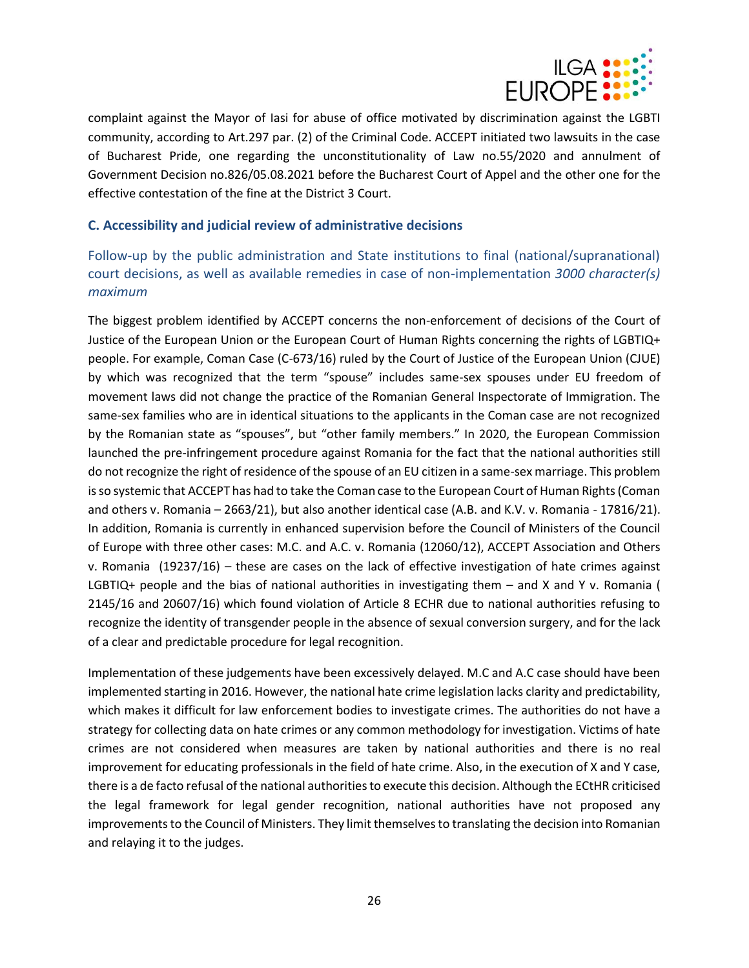

complaint against the Mayor of Iasi for abuse of office motivated by discrimination against the LGBTI community, according to Art.297 par. (2) of the Criminal Code. ACCEPT initiated two lawsuits in the case of Bucharest Pride, one regarding the unconstitutionality of Law no.55/2020 and annulment of Government Decision no.826/05.08.2021 before the Bucharest Court of Appel and the other one for the effective contestation of the fine at the District 3 Court.

#### **C. Accessibility and judicial review of administrative decisions**

Follow-up by the public administration and State institutions to final (national/supranational) court decisions, as well as available remedies in case of non-implementation *3000 character(s) maximum*

The biggest problem identified by ACCEPT concerns the non-enforcement of decisions of the Court of Justice of the European Union or the European Court of Human Rights concerning the rights of LGBTIQ+ people. For example, Coman Case (C-673/16) ruled by the Court of Justice of the European Union (CJUE) by which was recognized that the term "spouse" includes same-sex spouses under EU freedom of movement laws did not change the practice of the Romanian General Inspectorate of Immigration. The same-sex families who are in identical situations to the applicants in the Coman case are not recognized by the Romanian state as "spouses", but "other family members." In 2020, the European Commission launched the pre-infringement procedure against Romania for the fact that the national authorities still do not recognize the right of residence of the spouse of an EU citizen in a same-sex marriage. This problem is so systemic that ACCEPT has had to take the Coman case to the European Court of Human Rights (Coman and others v. Romania – 2663/21), but also another identical case (A.B. and K.V. v. Romania - 17816/21). In addition, Romania is currently in enhanced supervision before the Council of Ministers of the Council of Europe with three other cases: M.C. and A.C. v. Romania (12060/12), ACCEPT Association and Others v. Romania (19237/16) – these are cases on the lack of effective investigation of hate crimes against LGBTIQ+ people and the bias of national authorities in investigating them – and X and Y v. Romania ( 2145/16 and 20607/16) which found violation of Article 8 ECHR due to national authorities refusing to recognize the identity of transgender people in the absence of sexual conversion surgery, and for the lack of a clear and predictable procedure for legal recognition.

Implementation of these judgements have been excessively delayed. M.C and A.C case should have been implemented starting in 2016. However, the national hate crime legislation lacks clarity and predictability, which makes it difficult for law enforcement bodies to investigate crimes. The authorities do not have a strategy for collecting data on hate crimes or any common methodology for investigation. Victims of hate crimes are not considered when measures are taken by national authorities and there is no real improvement for educating professionals in the field of hate crime. Also, in the execution of X and Y case, there is a de facto refusal of the national authorities to execute this decision. Although the ECtHR criticised the legal framework for legal gender recognition, national authorities have not proposed any improvements to the Council of Ministers. They limit themselves to translating the decision into Romanian and relaying it to the judges.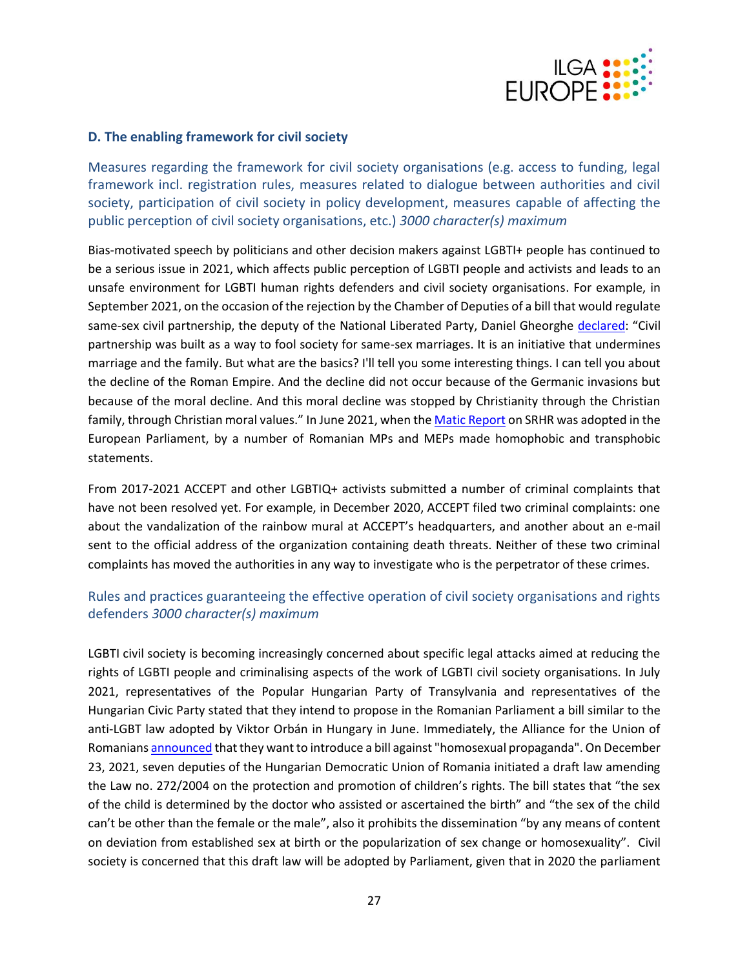

#### **D. The enabling framework for civil society**

Measures regarding the framework for civil society organisations (e.g. access to funding, legal framework incl. registration rules, measures related to dialogue between authorities and civil society, participation of civil society in policy development, measures capable of affecting the public perception of civil society organisations, etc.) *3000 character(s) maximum*

Bias-motivated speech by politicians and other decision makers against LGBTI+ people has continued to be a serious issue in 2021, which affects public perception of LGBTI people and activists and leads to an unsafe environment for LGBTI human rights defenders and civil society organisations. For example, in September 2021, on the occasion of the rejection by the Chamber of Deputies of a bill that would regulate same-sex civil partnership, the deputy of the National Liberated Party, Daniel Gheorghe [declared](https://www.digi24.ro/stiri/actualitate/politica/deputat-pnl-declinul-imperiului-roman-din-cauza-homosexualilor-camera-deputatilor-a-respins-parteneriatul-civil-1683043): "Civil partnership was built as a way to fool society for same-sex marriages. It is an initiative that undermines marriage and the family. But what are the basics? I'll tell you some interesting things. I can tell you about the decline of the Roman Empire. And the decline did not occur because of the Germanic invasions but because of the moral decline. And this moral decline was stopped by Christianity through the Christian family, through Christian moral values." In June 2021, when th[e Matic Report](https://www.europarl.europa.eu/doceo/document/TA-9-2021-0314_RO.pdf) on SRHR was adopted in the European Parliament, by a number of Romanian MPs and MEPs made homophobic and transphobic statements.

From 2017-2021 ACCEPT and other LGBTIQ+ activists submitted a number of criminal complaints that have not been resolved yet. For example, in December 2020, ACCEPT filed two criminal complaints: one about the vandalization of the rainbow mural at ACCEPT's headquarters, and another about an e-mail sent to the official address of the organization containing death threats. Neither of these two criminal complaints has moved the authorities in any way to investigate who is the perpetrator of these crimes.

## Rules and practices guaranteeing the effective operation of civil society organisations and rights defenders *3000 character(s) maximum*

LGBTI civil society is becoming increasingly concerned about specific legal attacks aimed at reducing the rights of LGBTI people and criminalising aspects of the work of LGBTI civil society organisations. In July 2021, representatives of the Popular Hungarian Party of Transylvania and representatives of the Hungarian Civic Party stated that they intend to propose in the Romanian Parliament a bill similar to the anti-LGBT law adopted by Viktor Orbán in Hungary in June. Immediately, the Alliance for the Union of Romanian[s announced](https://www.hotnews.ro/stiri-politic-24943363-aur-vrea-initieze-lege-anti-lgbt-modelul-din-ungaria-simpatizantii-partidului-chestionati-retele-socializare.htm.) that they want to introduce a bill against "homosexual propaganda". On December 23, 2021, seven deputies of the Hungarian Democratic Union of Romania initiated a draft law amending the Law no. 272/2004 on the protection and promotion of children's rights. The bill states that "the sex of the child is determined by the doctor who assisted or ascertained the birth" and "the sex of the child can't be other than the female or the male", also it prohibits the dissemination "by any means of content on deviation from established sex at birth or the popularization of sex change or homosexuality".Civil society is concerned that this draft law will be adopted by Parliament, given that in 2020 the parliament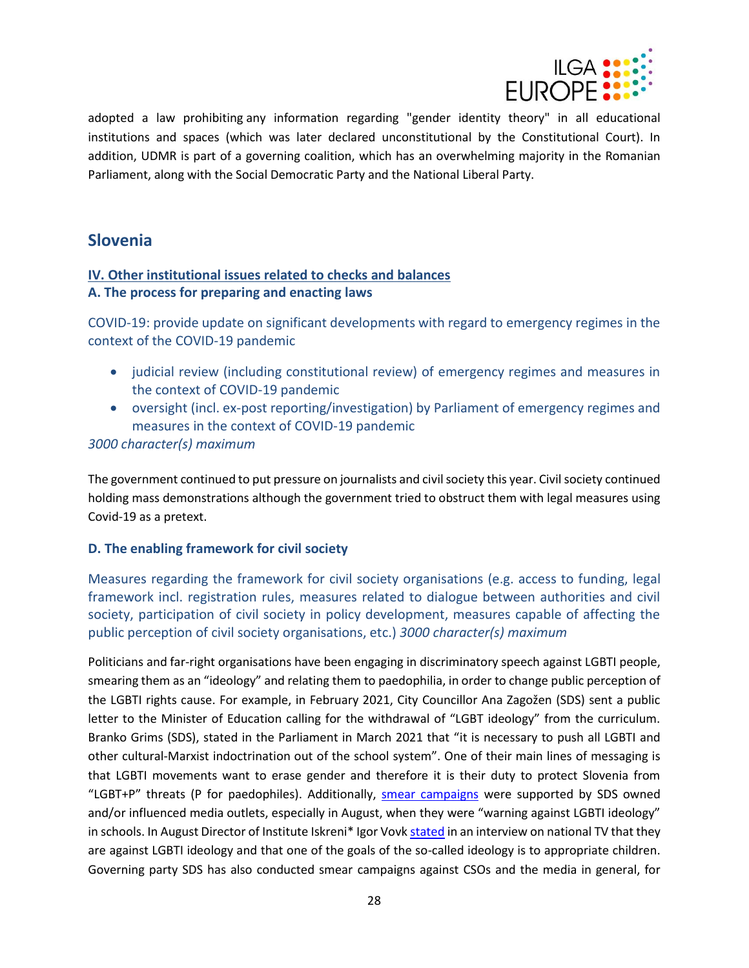

adopted a law prohibiting any information regarding "gender identity theory" in all educational institutions and spaces (which was later declared unconstitutional by the Constitutional Court). In addition, UDMR is part of a governing coalition, which has an overwhelming majority in the Romanian Parliament, along with the Social Democratic Party and the National Liberal Party.

# <span id="page-27-0"></span>**Slovenia**

# **IV. Other institutional issues related to checks and balances A. The process for preparing and enacting laws**

COVID-19: provide update on significant developments with regard to emergency regimes in the context of the COVID-19 pandemic

- judicial review (including constitutional review) of emergency regimes and measures in the context of COVID-19 pandemic
- oversight (incl. ex-post reporting/investigation) by Parliament of emergency regimes and measures in the context of COVID-19 pandemic

#### *3000 character(s) maximum*

The government continued to put pressure on journalists and civil society this year. Civil society continued holding mass demonstrations although the government tried to obstruct them with legal measures using Covid-19 as a pretext.

#### **D. The enabling framework for civil society**

Measures regarding the framework for civil society organisations (e.g. access to funding, legal framework incl. registration rules, measures related to dialogue between authorities and civil society, participation of civil society in policy development, measures capable of affecting the public perception of civil society organisations, etc.) *3000 character(s) maximum*

Politicians and far-right organisations have been engaging in discriminatory speech against LGBTI people, smearing them as an "ideology" and relating them to paedophilia, in order to change public perception of the LGBTI rights cause. For example, in February 2021, City Councillor Ana Zagožen (SDS) sent a public letter to the Minister of Education calling for the withdrawal of "LGBT ideology" from the curriculum. Branko Grims (SDS), stated in the Parliament in March 2021 that "it is necessary to push all LGBTI and other cultural-Marxist indoctrination out of the school system". One of their main lines of messaging is that LGBTI movements want to erase gender and therefore it is their duty to protect Slovenia from "LGBT+P" threats (P for paedophiles). Additionally, [smear campaigns](https://nova24tv.si/slovenija/indoktrinacija-slovenskih-uciteljev-o-transspolnosti-ze-v-katalogu-ministrstva-za-solstvo/,%20https:/demokracija.si/fokus/indoktrinacija-slovenskih-uciteljev-o-transspolnosti-ze-v-katalogu-ministrstva-za-solstvo/) were supported by SDS owned and/or influenced media outlets, especially in August, when they were "warning against LGBTI ideology" in schools. In August Director of Institute Iskreni\* Igor Vov[k stated](https://365.rtvslo.si/arhiv/intervju/174796692) in an interview on national TV that they are against LGBTI ideology and that one of the goals of the so-called ideology is to appropriate children. Governing party SDS has also conducted smear campaigns against CSOs and the media in general, for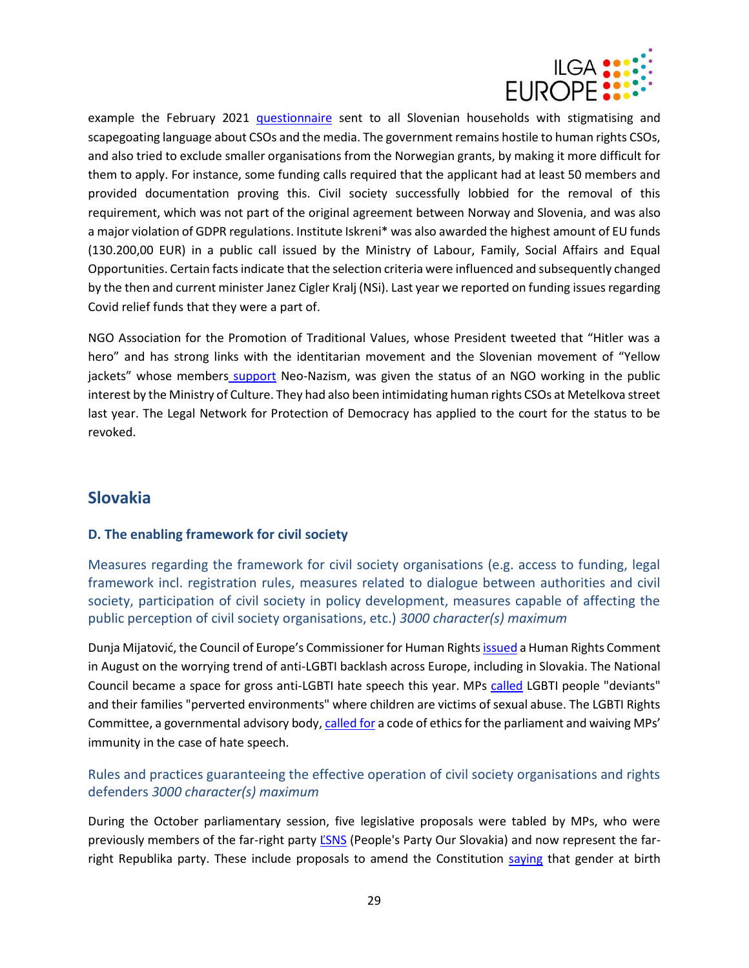

example the February 2021 [questionnaire](https://www.had.si/blog/2020/07/14/ste-prejeli-anketni-vprasalnik-stranke-sds-resite-ga-in-jim-ga-posljite/) sent to all Slovenian households with stigmatising and scapegoating language about CSOs and the media. The government remains hostile to human rights CSOs, and also tried to exclude smaller organisations from the Norwegian grants, by making it more difficult for them to apply. For instance, some funding calls required that the applicant had at least 50 members and provided documentation proving this. Civil society successfully lobbied for the removal of this requirement, which was not part of the original agreement between Norway and Slovenia, and was also a major violation of GDPR regulations. Institute Iskreni\* was also awarded the highest amount of EU funds (130.200,00 EUR) in a public call issued by the Ministry of Labour, Family, Social Affairs and Equal Opportunities. Certain facts indicate that the selection criteria were influenced and subsequently changed by the then and current minister Janez Cigler Kralj (NSi). Last year we reported on funding issues regarding Covid relief funds that they were a part of.

NGO Association for the Promotion of Traditional Values, whose President tweeted that "Hitler was a hero" and has strong links with the identitarian movement and the Slovenian movement of "Yellow jackets" whose members [support](https://www.24ur.com/novice/slovenija/rumeni-jopici.html) Neo-Nazism, was given the status of an NGO working in the public interest by the Ministry of Culture. They had also been intimidating human rights CSOs at Metelkova street last year. The Legal Network for Protection of Democracy has applied to the court for the status to be revoked.

# <span id="page-28-0"></span>**Slovakia**

#### **D. The enabling framework for civil society**

Measures regarding the framework for civil society organisations (e.g. access to funding, legal framework incl. registration rules, measures related to dialogue between authorities and civil society, participation of civil society in policy development, measures capable of affecting the public perception of civil society organisations, etc.) *3000 character(s) maximum*

Dunja Mijatović, the Council of Europe's Commissioner for Human Rights [issued](https://www.coe.int/en/web/commissioner/-/pride-vs-indignity-political-manipulation-of-homophobia-and-transphobia-in-europe?inheritRedirect=true) a Human Rights Comment in August on the worrying trend of anti-LGBTI backlash across Europe, including in Slovakia. The National Council became a space for gross anti-LGBTI hate speech this year. MPs [called](https://www.nrsr.sk/web/Dynamic/DocumentPreview.aspx?DocID=491493) LGBTI people "deviants" and their families "perverted environments" where children are victims of sexual abuse. The LGBTI Rights Committee, a governmental advisory body[, called for](https://www.justice.gov.sk/Stranky/aktualitadetail.aspx?announcementID=3529) a code of ethics for the parliament and waiving MPs' immunity in the case of hate speech.

# Rules and practices guaranteeing the effective operation of civil society organisations and rights defenders *3000 character(s) maximum*

During the October parliamentary session, five legislative proposals were tabled by MPs, who were previously members of the far-right party *LSNS* (People's Party Our Slovakia) and now represent the farright Republika party. These include proposals to amend the Constitution [saying](https://www.startitup.sk/navrh-z-dielne-lsns-transrodovym-ludom-nahana-hrozu-opisuju-svet-plny-depresii-a-samovrazednych-myslienok/) that gender at birth